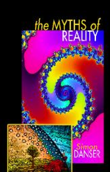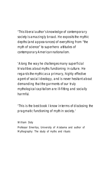



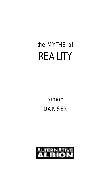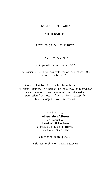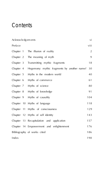

Acknowledg em ents vi Preface viii  $\mathcal{C}(\mathbf{q},\mathbf{q})$  . The illusion of reality 2  $\mathcal{C}(\mathbf{q},\mathbf{q})$ Chapter 2 The meaning of myth 9 Chapter 3 Transmitting mythic fragments 18 Chapter 4 Hegemony: mythic fragments by another name? 30 Chapter 5 Myths in the modern world 400 and 400 million and 400 million and 400 million and 400 million and 400 million and 400 million and 400 million and 400 million and 400 million and 400 million and 400 million and 40 Chapter 6 Myths of commerce 61 Chapter 7 Myths of science 80 Chapter 8 Myths of knowledge 91 Chapter 9 Myths of causality 104 Chapter 10 Myths of language 118 Chapter 11 Myths of consciousness 129 Chapter 12 Myths of self identity 143 Chapter 13 Recapitulation and application 157 Chapter 14 Empowerment and enlightenment 176 Bibliography of works cited 186<br>Bibliography of works cited 186<br>Bibliography of the Corporation 186<br>186 Index 198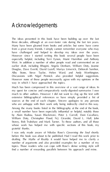

The ideas presented in this book have been building up over the last Many have been gleaned from books and articles but some have come especially helpful, including Terri Eyesis, Municipal and Anthony earlier draft, including Bhogini, Angela Denham, William Doty, Jeanne Alby Stone, Steve Taylor, Helen Ward. and Andy Worthington. Discussions with Nigel Pennick also provided helpful suggestions. way in which I have approached the topics.

Much has been compressed in this overview of a vast range of ideas. In my quest for concise and comparatively easily-digested summaries I owe extensive bibliographical references so have simply provided a list of a small number have been especially influential or helpful, notably those William Doty, Christopher Flood, N.J. Girardot, David L. Hall, John whose work has helped me with specific sections of this book, my

I was only made aware of Nikolas Rose's *Governing the Soul* shortly drafting *The Myths of Reality* it would have helped me to clarify a topics. Those readers who can cope with Rose's dense writing style will find a number of rewarding parallels between his approach and mine.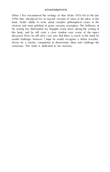

When Ifirst encountered the writings of Alan Watts (1915–65) in the late *acknowledgements*book. Watts' ability to write about complex philosophical issues in the clearest and most polished of prose remains exemplary. The brilliance of would challenge; however I how the world. recognise a fellow traveller, driven by a similar compulsion to disseminate ideas and challenge the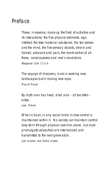

These, in essence, make up the field of activities and its interactions: the five physical elements, ego, intellect, the total material substance, the ten senses and the mind, the five sensory objects, desire and hatred, pleasure and pain, the combination of all Bhagavad Gita 13.5-6 The voyage of discovery is not in seeking new landscapes but in having new eyes. Marcellon Communication By myth man has lived, died and – all too often – killed. Jaan Puhvel What is basic in any social order is how control. maintained within it. No society can maintain control

promulgate values that are internalized and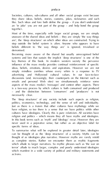

The 'deep structures' of any society include such aspects as religion, To summarise what will be explored in greater detail later, ideologies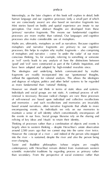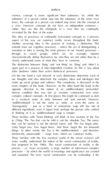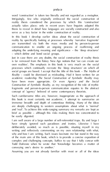*preface* 

word 'construction' is taken too literally and not regarded communication to enable an ongoing process of reaffirming and – which define and bond social groups. Just in case there are any doubts, the social construction of reality thesis academic readership *The Social Construction of Symbolic Reality* may are deeply challenging to western assumptions about what is 'normal' brief as possible – although this risks making them too concentrated to be easily digested. deliberately avoided, so much as is possible, situating myself in my writing and reflexively commenting on my own relationship with what, of the main aim of this book, which is to provide a concise exposition of Todd Dufresne when he wrote that 'Knowledge becomes a matter of Assuming you are not already familiar with most or all of the ideas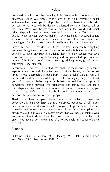

relationships will begin to seem very fluid and arbitrary. Only you can meaningful. For this reason several 'health warnings' are important. Secondly, it is not possible to study the myths of reality and regard some aspects – such as god, life after death, political beliefs, etc – as 'off Thirdly, the later chapter sites in the later of the later unless you have a very clear idea of who you could turn to for effective suppor t. Sources: The Contract of the Contract of the Contract of the Contract of the Contract of the Contract of the Contract of the Contract of the Contract of the Contract of the Contract of the Contract of the Contract of the C

Dufresne 2003: 152; Giradot 1983; Hacking 1999; Hall 1982a; Kramer and Alstad 1993: 3–4; Puhvel 1987: 2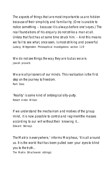The aspects of things that are most important to us are hidden real foundations of his enquiry do not strike a man at all. **Null Section of the attack of the struck him. – And this means:** we fail to see what, once seen, is most striking and powerful. Ludwig Wittgenstein *Philosophical Investigations* section 129 We do not see things the way they are but as we are. Jewish proverb We are all prisons of our minds. The realisation is the first **Step on the freedom**. Then Ram Dass 'Reality' is some kind of ontologicalsilly-putty. Robert Anton Wilson If we understand the mechanism and motives of the group mind, it is now possible to control and regiment the masses according to our will without their knowing it… Edward Bernays The Matrix is everywhere,' informs Morpheus, 'It is all around us. It is the world that has been pulled over your eyes to blind you to the truth… *The Matrix* (Wachowski siblings)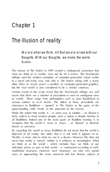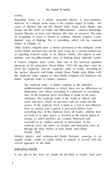

cause of illusions but not the illusion itself. Maya leads deeper and deeper into the realm of matter and differentiation –whereas knowledge (*prajna*) liberates us from such illusions (the state of samsara). The state of recognition of maya is known as moksha. Moksha requires a nondualistic way of thinking; this is something which will be explored the 'implicate order' equates to what Hindu scriptures call *brahman*, and Böhm' 'explicate order' is Hindu's samsara.

The implicate order, as Böhm explains, is the unbroken distinctions, and where everything is connected to everything senses. At the explicate level, a plant or a tree is seen different everything else. At the implicate level, all matter, whether here recreated in an endless network of interactions. At the equally 'exotic' model of reality which is entirely in accord with the overall approach of this book.

everyday maility In our day to day lives we simply do not think of 'reality' from such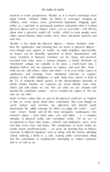about what a physicist would call 'reality', which to most people seem rather unreal theories about matter, force, time, sub-atomic particles and such like. many variations in between. Furniture can be cheap and practical, 'investment' antique too valuable to be used, a much-loved sofa, a

in that we rarely speak about them consciously. But, even though we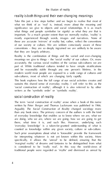reality is both things and their ever-changing meanings *the illusion of reality* important. To a much greater extent than we normally realise, 'reality' is

that they are largely arbitrary. Reality is the combination of things and the varied and ever-changing meanings we give to things –the 'social reality' of our culture. Or, more part of. While traditional cultures tended to have simple stratifications modern world most people are exposed to a wide range writers as the 'symbolic order' or 'symbolic reality'.

written by Princ Berger and Thomas Luckmann was published in 1966. of everyday knowledge that enables us to know where we are, what we counted as knowledge within any given society, culture or sub-culture. specifically, it allows the 'unreal' to be defined, ensuring that the traditional people were regarded as 'myths' and dismissed as unreal by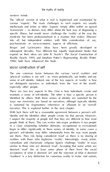western minds.

The 'official' version of what is real is legitimised and maintained by various 'locastic'. The main challenges to such experts are usually intellectuals and artists as other 'experts' simply differ within an agreed medicine has been professionalised in a manner that makes 'illnesses' into all but independent entities, with little consideration of, say, Berger and Luckmann's ideas have been greatly developed in subsequent decades. Two different but equally inspirational books that 1996); both have influenced this book.

'physical' realities is our self –or, more pedantically, our bodies and our

There are two key aspects to this. One is how individuals create and maintain a sense of self-identity. The other is how a specific person is identified by others. Both these senses of identity are sustained by the ways our memories are based on narratives, although typically identity narrative. This is explored further in the next chapter.

identity and the identities other people create for that person. However, I suspect the majority of people feel that they are different to how most begin to differ significantly in these senses of identity. In some cases a person's self-identity may differ substantially from the way most people realities with those who legitimise 'reality'. Interestingly, many artists, 'madness' is a key distinction for consensus reality to make and sustain,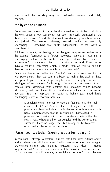

'best', most 'evolved' and the dominant worldview by which all others are judged. The western ideology regards reality as essentially unchanging – something that exists independently of the ways of the essential foundation to a further ideological stance. By asserting its unchanging nature such implicit ideologies deny that reality is think of reality as something which is 'made', then we will not begin to 'component parts' offers deep insights into the largely unconscious creates these ideologies, who controls the ideologies which become agendas. Such an approach to reality is behind toon Baudrillard's challenging view of modern America: prisons are there to hide that it is the social in its entirety, in its presented as imaginary in order to make us believe that the order and to the order of simulation. 'Fasten your seatbelts, it's going to be a bumpy night'

In this book I attempt to explore in more detail the ideas outlined above pre-existing cultural and linguistic structures. Two ideas – 'mythic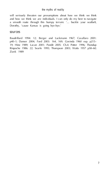Dorothy, 'cause Kansas is going bye-bye.'  $\equiv$ 

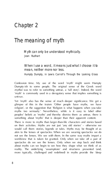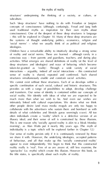structures' underpinning the thinking of a society, or culture, or *the myths of reality*

Such 'deep structures' have nothing to do with Freudian or Jungian concepts of consciousness (although continuity), Freud and Jung both<br>used traditional myths as inspiration for their own myths about<br>consciousness (the of the deepest of these deep structures is language ideologies. Children have a remarkable ability to intuitively develop a strong sense

individuality is a topic which will be explored further in Chapter 12.)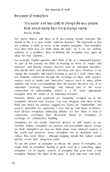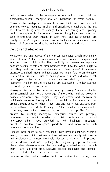and the remainder of the metaphor system will change, subtly or Changing the metaphor changes how we think and how we act. Learning how to recognise implicit and underlying metaphors is the first seek to empower their students in such ways, and the exceptions are mostly in 'arts' subjects rather than technological or vocational ones.

the power of ideologies

Metaphors are one aspect of the various ideologies which provide the 'deep structures' that simultaneously construct, reaffirm, explain and is a contentious one – such as defining who is 'mad' and who is not; 'obscene'; whether judicial executions are acceptable; whether abortion is morally justifiable; and so on. and meaningful, often to the advantage of those who hold the power in politics, commerce and religion. They also create and maintain an create a strong sense of 'other' – everyone and every idea excluded from the socially-accepted ideals. Defining the 'other' – what is *not* us – is the main way we define ourselves and our social group. The 'other' is created by cleating ideological categories which are promptly newspaper editors have provided us with 'hooligans', 'muggers', 'travellers', 'welfare scrowingers', 'pachiphiles' and many more such and evolutionary. Almost inevitably deeper challenges will produce intense debate and risk splitting the original group in factions. Because of the media, reading books, or surfing the Internet, most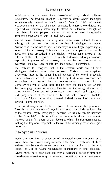



Myths are narratives, a sequence of connected events presented as a considerable evolution may be revealed. Sometimes myths 'degenerate'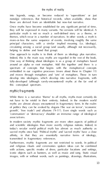themes, which recur in a number of narratives. In other words, a myth is Indeed, this is the main way myths are regarded in the rest of the book. One way of thinking about ideologies is as a group of metaphors based around an alpha or root metaphor. Add this together and there is a spectrum of concepts that begins with the metaphorical concepts this conceptual spectrum.<br>mythic fragments

While there is a narrative 'theme' to all myths, myths and certainly do 'communism' or 'democracy' shoulder an immense range of ideological images, with or without words, such as paintings, drawings, illustrations,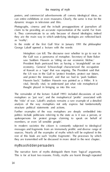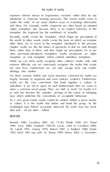'under the radar' of our usual intuitive ways of evaluating information and ideas. For example, mythic fragments are often based on unstated metaphor, the fragment has the semblance of 'actuality'. Secondly, myths create the 'templates' which shape our perceptions of the world. In other words, myths create the basis on which we evaluate other previously-introduced metaphors, myths incorporate an 'alpha metaphor' or 'root metaphor' which controls subsidiary metaphors.

largely statused to argument and even contrary evidence. Furthermore, myths are the core convictions that bond together a culture or share a common social group. 'They' are 'daft' or 'mad'. Or maybe it is us who has become the 'outsider', perhaps to the extent of infringing or culture it is the myths that define and bond the group. As the

 $\sim$ Bennett 1980; Cavallaro 2001; xiii, 75–85; Eliade 1959; Cavallaro 2001; Flood in The American International International International International International International International International International In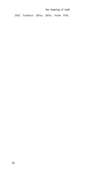

16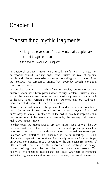

In traditional societies myths were usually performed in a ritual or people and different from other forms of storytelling and narration. Even

In complete contrast, the myths of western society during the last few as the King James' version of the Bible – but these texts are read rather

the subject matter is quite overtly based on traditional myths – from *Lord of the Rings* to *Shrek* – in other cases the mythic quality is implicit within

In other cases the mythic aspects are even more subtle, as with the way news is made into 'stories' which revolve around specific personalities, Selection and distortion are endemic in news reporting. A 'spin' on events. For instance, media coverage of the anti-capitalism protests of follows a time-honoured tradition that goes back 200 years of infiltrating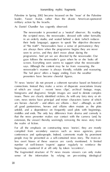## *transmitting mythic fragments*

As Daniel Chandler has cogently observed:

The newsreader is presented as a 'neutral' observer. By reading in an orderly studio, and seated behind a desk (which reduces gaze follows the newsreader's gaze when he or she looks off says. Although the content may be far from reassuring, the newsreader's manner is always friendly, reliable and reassuring.

of which are visual – recent 'news clips', archival footage, maps, are heroes –*hurrah!* – and others are villains – *hiss!* – although, as with unfold), and a dependence on frequently used plots with beginnings, compiled from secondary sources such as news agencies, press less overt biases of these sources are rarely mentioned. A limited hegemony, countered (if at all) only by token 'eccentrics'. sense of the information by relying on pre-existing ideological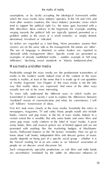infiltrators', 'declining moral standards' or 'Islamic fundament-alists'. Mass media and other media

of 'mythic fragments' (see Chapter 2). But mass media is not the only way that myther when are expressed. And some of the other ways actually turn out to be more interesting. call 'folkloric' transmission of ideas. First let's look more closely at the mass media. Essentially this refers to

newspapers, magazines, TV and radio. Many people would also include promoted with anything like the marketing budgets of blockbuster the 'formal' mailing list of an arts centre or an 'informal' association of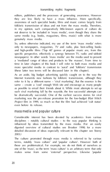

editors, publishers and the processes of generating measuress. However not deserve to be included in 'mass media', even though they share the only to newspapers, magazines, TV and radio, plus best-selling books specific perspective advertising a synergy between TV, radio and tabloid As an aside, big budget advertising quickly caught on to the way the Internet transmits new fashions by folkloric transmission, although they same – create a 'cool' enough Web site and encourage as many people even before its release. mass media and popular culture

disciplines – notably cultural studies – to the way popular thinking is influenced by these transmitted by the mass media. (For an easily

these are problematical. For example, we do not think of ourselves as makes sense from some 'external' perspective. Likewise 'popular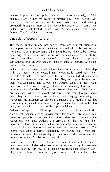culture' implies an 'un-popular culture' or, more accurately, a 'high *the myths of reality* promoted throughout most of the twentieth century as in some better, more 'sophisticated', more 'evolved', than popular culture (see Storey 2003: 32–40 for a summary).

## Unpacking 'popular culture'

large majority of football fans support Premiership teams. Their games are televised, when well-established pundits air their thoughts about Followers of sports and leisure pursuits which are seldom televised – reader that the latest products are essential for them to fulfil their shared is through face-to-face social activities, however informal. The Internet has added a further opportunity for sharing ideas which falls greater formality of published periodicals.

players and bowls teams are good examples of subcultures that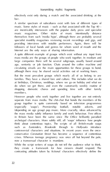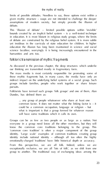limits of possible attitudes. Needless to say, these options exist within a

This 'illusion of debate' – limited possible options within 'invisible' of debate are constrained by the religious belief system. It is more subtle science faculties; worryingly it is being increasingly encountered in the humanities and arts too.

As discussed in the previous chapter, the deep structures which underlie these mythic fragments but, in many cases, the media have only at<br>indirect impact on the underlying belief systems of a social group. Such<br>groups include together or share leisure. Folklorists have termed such groups 'folk groups' and one of them, Alan

Dundes, has defined them as:

will have some traditions which it calls its own.

Groups can be as few as two people or as large as a nation. Not 'common core tradition' is often a major component of the group emotionally-charged 'traditions' have little historical depth or accuracy.<br>From this perspective, we are all folk. Indeed, unless we are<br>exceptionally reclusive, we are all 'lots of folk', as we shift from one group of the of  $\Delta M_{\odot}$  or was difficulties among the same of the traditional way of exchanging ideas among the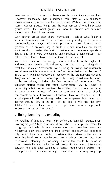*transmitting mythic fragments*

Such Internet groups often share information – such as what folklorists term 'contemporary legends' – in ways directly analogous to previous typically passed on over, say, a drink in a pub, now they are shared that at one time were photocopied and circulated around offices – so-Just a brief aside on terminology. Pioneer folklorists in the eighteenth who their so-called 'informatic were singing or saying. For reasonably folklorists started calling this 'aural transmission' (i.e. 'by sound'), a However many speech of Internet communications are directly Internet transmission. In the rest of this book I will use the term to use the terms 'oral' or 'aural'. defining, bonding and excluding The retelling of tales and jokes helps define and bond folk groups. Everof context. Tolerating or condoning humour that would be taboo in between 'the lads' after watching a football match would probably not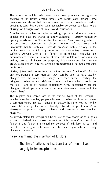$\omega$  in which sexist place have been prevalent among some of the filter among some of tales and jokes are shared at family gatherings – usually framed by opening words such as 'Remember the time at Alan's wedding when… ' changes noticed, perhaps when someone contentiously breaks with the 'done thing'. nationalism and the invention of folklore

The life of nations no less than that of men is lived largely in the imagination.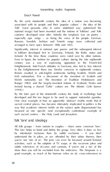

By the early nineteenth century the idea of a nation was becoming associated with its people and their 'popular culture' – the idea of the 'folk' (rural peasants who in some undefined way epitomised the customs' developed soon after. Initially the emphasis was on poetry – especially epic songs – as being the voice of the people. German,

in folklore developed first in Germany, Finland, the Baltic states and Even in Spain, the fashion for popular culture during the late eighteenth in the Enlightenment there too. Similar concerns in eighteenth century Ranger 1983); and the largely-invented notions of Scotland, Wales and Ireland having a shared 'Celtic' culture see *The Atlantic Celts* (James

such sacred centres – the Holy Land and Jerusalem. folk 'lore' and ideology

All folk groups – from nations to couples – share some common 'lore'. by intentional inclusion than by subtle exclusion – if you don't activities, such as the subplots of TV soaps, or the recurrent jokes and show then you will be excluded from the witticisms. *The Simpsons* is a good example, as much of the humour relies on shy cross-references to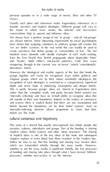previous episodes or to a wide range of novels, films and other TV broader narrative and implicit ideologies. Different groups will vary in the extent to which mass media, the Internet and face-to-face are *always* inferior. Some interesting experiments by social psychologists 'we are better' scenario. In the real world this can readily be used to However the ideological and mythic aspects of the lore that bonds the religious groups which are by their nature essentially ideological, the rather than the 'complete' myth, and partly because belief systems are family of their own boundaries. Indeed, in the realms of commerce.<br>In these these is explicit descriptions on a commerce product set beliefs beyond the boundaries set by their belief systems. Such an

societies, cultures, subcultures and groups. Part of the bonding is sharing of implicit ideas is one of the key ideas of this book and subsequent chapters explore in more detail how these manifest in the modern day. of bonding and sharing take place through what I have termed 'folkloric processes', whether face-to-face or via the Internet.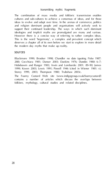

The combination of mass media and folkloric transmission enables ideas to evolve and adapt over time. In the arenas of commerce, politics This is the word 'hegemony', a complex and prevalent concept which

sources

288); Cocchiara 1981; Danser 2003; Daekins 1976; Dundes 1980: 6–7; 1999; Karen 2003; Lewis 1991; Powell 1946 (cited in Wiener 1981; v); Storey 1999, 2003; Thompson 1980; Trubshaw 2003c. The Foamy Custard Web site (www.indigogroup.co.uk/foamycustard/) folklore, mythology, cultural studies and related disciplines.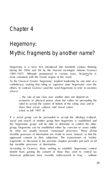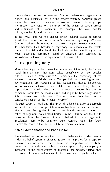*hegemony*

In the 1960s and 70s the pioneer British cultural studies researcher Stuart Hall picked up on Gramsci's ideas of hegemony. Whereas

its inhabitants, Hall broadened hegemony to encompass the whole way hegemonic domination could be uncertain and contested by

# Contesting the hegemony

social historic E.P. Thompson looked specifically at how popular culture – such as 'folk customs' – contested the hegemony of the for 'oppositional' alternative interpretations of mass culture, the real opportunities are with those areas of popular culture that are not primarily transmitted by mass culture and might be better regarded as

Although Gramsci, Hall and Thompson all adopted a Marxist approach, imbalances seem to be 'common sense'. Cunning, rather than force, enables the 'powers that be' is nullify subversive absences.

underlying belief system is either to ignore it or, if pushed for a response, dismiss it as 'nonsense'. Indeed, from the perspective of the belief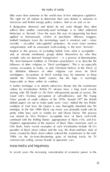*the myths of reality*

little more than nonsense to the world view of free enterprise capitalism. suffice) then another commonly-used technique is to label undesired applied to homosephy of the of psychiatric illnesses mustacle categorisation, with its associated myth-making, is the term 'terrorist'. Implicit in this process of excluding beliefs from what is acceptable – by definition followers of other religions can never be Devil workingers. Accusations of Devil worship may be nonsense to those outside the Christian belief system, but the logic is seemingly culture by trivialisation. British TV sitcoms have a long track record, was started by Elvis Presley's 'acceptable face' of black rock'n'roll, Clapton's appropriation of the number of black blues musicians such as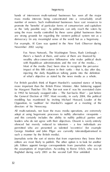

hands of interwoven multi-national businesses has seen all the major number of owners. Such multinational businesses. Sees vast resources to promote the 'benefits' of particular forms of consumerism and capitalism

Fox News Network, The Washington Times, Rush Limbaugh – wealthy ultra-conservative billionaires who make political deals impact of this fifth column in their ranks – that is, day after day, of what's objective as stated by the news media as a whole.

For British parallels think of Rupert Murdoch's sustained stance of being more important than the British Prime Minister. After boltecher support in 1992) he famously swapped sides – *'The Sun* backs Blair' – just before medding has manifested by inviting Michael Howard, Leader of the Opposition, to 'audition' for Murdoch's support at a meeting of the directors of his Newscorp. adept at using hegemonic processes to nullify alternative viewpoints – and this certainly includes the ability to nullify political parties and leaders who do not agree with their objectives. Dissent is rarely entirely silenced but merely reduced to tokenism – a few individuals are George Monbiot and John Pilger are currently tolerated/patronised in

editors are most likely to publish. The other option is to look for another job. Editors appoint foreign correspondents from journalists who accept Baghdad during early 2003 as the second Gulf War unfolded: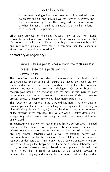I didn't meet a single foreign reporter who disagreed with the notion that the US and Britain have the right to overthrow the Iraqi government by force. They disagreed only about timing, term occupation is practical. Erlich also provides an excellent insider's view of the way media journalists unselfconsciously self-censor their stories, concluding that  $r$ ers quickly learn to self-censor, or they're taken of the beat. USA either country would care to admit.' democracy or hegemony?

Once a newspaper touches a story, the facts are lost forever, even to the protagonists Norman Mailer

The combined tactics of denial, demonisation, trivialisation and political, economic and religious ideologies. Corporate businesses, in America, the powerful voices of conservative Christian pressure political parties that are (a) dismantling social equality; (b) refusing to inverted – the main reason a populace benefits from a democracy. corporate businesses. By this definition US and UK government can be now forced through the hoops set for them by corporate lobbyists. Few muster more than a small percentage of the budgets devoted to parliamentary lobbying and funding by commerce and industry (and if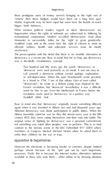

these prodigious sums of money weren't bringing in the right sort of

What western political leaders regard as ideal 'democracies' are transnational corporations. Modern so-called 'democracies' must allow Monsanto to successfully lobby for the 'right' to grow geneticallyefficient welfare, health and education services must be fatally was a decidedly revolutionary concept

'democrat' were used primarily as an insult. It was not easy to call yourself a democrat without careful apology, explanation or self-deprecation. When the poet Wordsworth wrote privately French revolution, but 'democrat' nevertheless it was a difficult

(Goldhill 2004: 164)

not something you voted other peoples' sons to perform. This is in total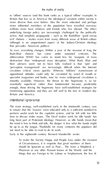to 'offline' sources (and this book ranks as a typical 'offline' example). In Britain (but less so in America) the ideological variation within society is *the myths of reality* more influential members of the population have travelled overseas; millions more have relatives and friends who live abroad. The ethics underlying foreign policy are increasingly challenged by the politically active. And simplistic propaganda – such as the Bush/Blair 'good versus

# Britain and America. intentional ignorance

not need to be able to read to do its work.

Early in the eighteenth century Bernard Mandeville wrote: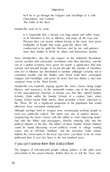

It is impossible that a Society can look suffert and suffer many inure their Bodies to Work for others and themselves besides.

Since Mandeville's day the full impact of the Industrial Revolution, comprise most of the Third World.<br>Mandeville was explicitly arguing against the lower classes being taught

literacy and numeracy. In the nineteenth century one of the attractions of the nonconformist churches in Britain was that they offered Sunday Sunday School meant Bible stories, these provided a basic education in Although perhaps hard to imagine now, encouraging working people to read was politically radical. The intent was one of explicit dissent – (not only the Bible) and newspapers, thereby entering fully into the rooms and at self-help 'institutes' and the formative trade unions.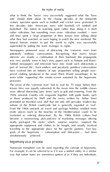what to think, the 'haves' very successfully suggested what the 'have potentially seditious conversations. Recognising that men's leisure interests are mostly a continuation of their boyhood, this propaganda The wives of the 'common man' had to wait for TV soaps before their leisure time was equally subverted. In the mean time the middle classes goals of the hegemony – consumption and distraction – had been simultaneously achieved. hegemony as a process

Numerous metaphors can be used regarding the concept of hegemony. way that nation states are sometimes spoken of as if they are individuals.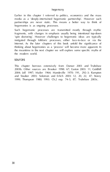

Earlier in this chapter I referred to politics, economics and the mass media as a 'deeply-intertwined hegemonic partnership'. However such partnerships are never static. This means a better way to think of Such hegemonic processes are transmitted mostly through mythic

fragments, with changes in emphasis usually being intentional top-down 'sat doctoring'. However challenges to heavier about an interaction instituted through folkloric processes orders face-to-face or via the

the modern world. sources

This chapter borrows extensively from Danser 2003 and Trubshaw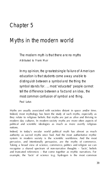

Myths are usually associated with societies distant in space and/or time. Indeed, most mythology has been the study of such myths, especially as modern day cultures. In modern society myths are more often aspects of political and scientific ideologies as much as more overtly religious Indeed, in today's secular world political myth has almost as much and truncated references – that come together as mythic narratives. For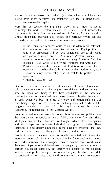element in the universe) and 'beliefs' (e.g. the universe is infinite) are distinct from more narrative 'interpretations' (e.g. the Big Bang theory) From this perspective, the Big Bang theory is as much a sacred comitings for modern western societies as Genesis is for Christians, the Christians, the be made in the realms of religion, commerce and politics. than religion – indeed 'Green', far Left and far Right politics attempts to stand apart from the underlying Protestant Christian – most certainly regard religion as integral to the political spectrum. (Trubshaw 2003a: 169)

One of the myths of science is that scientific rationalism has claimed time this book was being written both candidates in the American a vastly expensive (both in terms of money and human suffering) war was being waged on the back of mutually-intolerant fundamentalist religious attitudes. So much for the myth claiming the cultural supremacy of rationalism in the western world… their foundations in ideologies, which fulfil a variety of functions. These ideologies provide the 'structures of thought' which filter perceptions, People in modern societies are continually presented with ideological be unbiased or journalists and TV documentaries claim to be reporting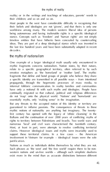## reality; or in the writings and teachings of educators, parents' words to *the myths of reality*

Most people in the west have considerable difficulty in recognising that the last few hundred years and have been substantially adapted in recent

mythic fragments concerns nationalism. Nation states, by their nature, fragments that define and bond groups of people who believe they share But any threats to the accepted notion of this identity or territory are

Nations as much as individuals define themselves by what they are not. Such phrases as 'the west' and 'the free world' require there to be nonexist more in the mind than as accurate distinctions between different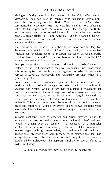ideologies. During the forty-four years of the Cold War western *myths in the modern world* commenced in November 1989, the west has found it more difficult to 'war on terror' has created essentially mythical adversaries which reflect – once again has found an 'other' which is excluded in a deceitful The "war on terms" is, so far, less about terrorism or even territory than the second contractory than the  $\sigma$ rhetoric of the least-imaginative medieval preachers. Such propaganda fails to recognise that people can be regarded as 'other' in an infinite number of ways; we (collectively and individually) are often 'other' to a great many others. Britain has its own territorial/ideological conflict in Ireland, and has Scotland and Wales, which in turn has stimulated a movement for nationalism of these parts of the British Isles is largely invented and Israel and Palestine is 'justified' by events of one to two thousand years territorial rights are confused as the various traditional 'tribes' had been to their region (although, nevertheless, had well-established myths that about been there). The fine detail of such migrations can only be myths is illusory.

… historical monuments may be claimed by nations far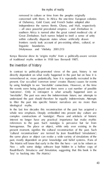removed in culture or time from the peoples originally of Dahomey, Gold Coast, and French Sudan adopted after within culturally disparate states whose artificially drawn frontiers rarely took account of pre-existing ethnic, cultural, or  $\frac{1}{2}$ 

the invention of history

In contrast to politically-promoted views of the past, history is not by using hindsight to see 'inevitable' connections. However, at the time the events were being played out there were a vast number of possible

In the last few decades this reconstruction of the past has acquired a whole new emphasis. Deeply embedded into present day culture are complex constructions of 'nostalgia'. Places and artefacts of historic homogenous. The place or object, while only ever existing in the present moment, signifies the cultural reconstruction of the past. Such 'cultural reconstructions' are termed by Jean Baudrillard 'simulations'; the same place or object can evoke a wide variety of simulations of the Baudrillard's *Simulacra and Simulation*, suggesting that this book is the 'key' to hacking into *The Matrix*.)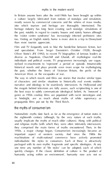In Britain anyone born after the mid-1960s has been brought up within a culture largely fabricated from notions of nostalgia and simulation, mostly woven by commercial concerns and the whims of mass media, too. Visiting an English stately home is more ability to the in-Disneyland than most tourists appreciate. Film and TV frequently seek to blur the borderline between fiction, fact and speculation. From Sergei Eisenstein's *October* (1928), through American West, or the escapades of war. the best ways to subtly communicate ideological beliefs. As 'innocent' a genre as 1950s cowboy films are populated with racist stereotypes and, in hindsight, are as much about myths of white supremacy as propaganda films put out by the Third Reich. the myths of consumerism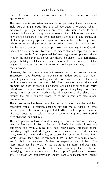much in the natural environment but in a consumption-based environm ent. The mass media are often responsible for promoting these subcultures. now offers a plethora of 'life style' magazines aimed at all age groups, all of them promoting specific types of consumption either by overt advertising or the slightly more subtle antics of journalists and experts. However, the mass media are not essential for promoting subcultures. conversations. The consequence has been more than just a pluralism of styles and their associated values. Frequently-changing fashions mask, indeed in some wine, wine, steak and chips, striptease, haircuts in Hollywood films, stripteater, in Hollywood films, stripteater, in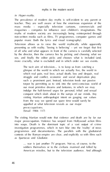

The prevalence of modern day myths is self-evident to any parent or mass media – especially television cartoons, commercials and popular music (both the lyrics and visual iconography). Television allows us to view the world mythically while apparently of all who and what appears in front of the camera is carefully selected see, and finally the editor picks and chooses what is included (and, more crucially, what is excluded) and in which order we see events. glimpse of the world in which we actually live, the world in which real pain, real love, actual death, loss and despair, real struggle and conflict, economic and social deprivation play our most primitive dreams and fantasies, in which we may visiting Martian anthropologist intent on gauging our values appalled at what television reveals as our major preoc cupa tions.

programmes and documentaries. The parallels with the gladiatorial … war is just another TV program. Not so, of course, to the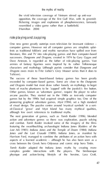the vivid television coverage of Vietnam stirred up anti-war opposition, the coverage of the first Gulf War, with its greenish

# role playing and zapping

*Dragons* owes more to Fritz Lieber's *Grey Mouser* series than it does to Tolkien).

The success of these board-based fantasy games has been greatly exceeded by computer-based games. Some are close to the *Dungeons* Other games, known as 'adventure games', require the player to solve arcane puzzles. They started out in the 1980s as text-only computer games but by the 1990s had acquired simple graphics too. One of the

although few overt references to traditional myths. The next generation of games, such as *Tomb Raider* (1996), blended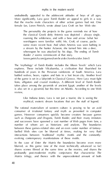*myths in the modern world*

undoubtedly appealed to the adolescent attitudes of boys of all ages. the classical Greek deity Artemis was depicted – always single, some more recent heat. And when Artemis was seen bathing in

explores. These include Vilcabamba, a civilisation that flourished its lions, alligators and crazed monkeys. A different level of *Tomb Raider*

games. Mostrat consumers spating. Security conduct because games such as *Dungeons and Dragons*, *Tomb Raider*, and their many imitators number of whom act as historians and analysts. The boundaries fuelhed Web sites can be bluested at times, making for very fluid interactions between 'traditional' mythic motifs and the constantly-*Matrix* trilogy, and thence with the unprecedented amount of both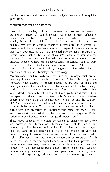popular comment and more academic analysis that these films quickly

define ourselves by excluding other races. The 'other' is no longer<br>Arabic, Asian, still less Hispanic or Jewish, as people from all these lesser extent, these races have adopted or aspire to western values in their own countries. So we have invented science fiction monsters as montate of sci-fi are dominated by imaginative aliens which have a<br>semblance of human physiology or psychology.

monsters which abound in modern popular culture such as films and culture seemingly lacks the sophistication to look beyond the dualisms

we construct our heroes and heroines too. Real-life people are of sustained corporate greed, unnecessary wars, human rights abuses,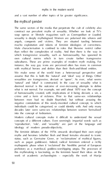*myths in the modern world*

and a vast number of other topics of far greater significance. the myths of gender

soap operas or lifestyle magazines such as *Cosmopolitan* or *Loaded*, macho exploitation and tokens of feminist ideologies of correctness. than reflect the complexities of reality. And then there is the way in which transportion sexuality, such as homosexuality, has spawned its selections. These are prime examples of modern myth making. For We make sense of the world from a heterosexual perspective and 'natural' and 'ideal' is constructed. In the case of sexuality what is between men had no doubt flourished, but without arousing the negative connections of the mark-invented cultural concept, to which concepts of a different culture. Even seemingly impartial words such as 'reproduction', 'role', and 'sexuality' are part of the language and myths and heroines (whether flesh and blood females elevated to iconic such as pagan goddesses). Indeed, radical feminism entered a richly mythopolity phase when it's building the Neolithic period of European work of academic archaeologists – especially the work of Marija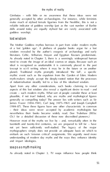Gimbutas – with little or no awareness that these ideas were not make much of stylised female figurines from the Neolithic, this is not a reliable indicator of goddess worship (just as the vast number of Barbie goddes word<br>lost wisdom

The Mother Goddess mythos borrows in part from wider modern myths of a lost 'golden age'. A plethora of popular books argue for a lost wisdom revealed by the author's exegesis of archaeology and early literature. Celtic, Arthurian, Mayan and Egyptian flavours predominate. ideal is recognised as unattainable it is commonly placed in the past (except in sci-fi writing where it may be in the future or on another planet). Traditional myths promptly introduced 'the fall', a specific of industrialisation steadily led to a loss of this idealised wisdom. Apart from any other considerations, such books claiming to reveal – their ideas were never accepted by academic mythologists but Ch.1 for a detailed discussion of these now discredited pioneers.) However most of the myths we live by – and, remarkably often in the and impart ideologies.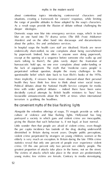*myths in the modern world*

about contentious topics introducing controversial characters and the range of possible attitudes to those adopted by the soap's characters. blur on one hand into TV drama series (*The Bill*; *Frost; Midsomer* endemically short-staffed, no one complains about being overwhelmed except at the opening of a sequence before someone else walks up and state talking to them?), the plan rarely depth the fractures of the lack of equipment. The myth that 'medicine cures people' is time with wider political debates – indeed there have been some decidedly cynical attempts by British health ministers to 'bury' less terrorism is grabbing the headlines. the convenient myths of the blue flashing lights portrayed a society in which guns and violent crime are inescapable, diminished in Britain during recent years. Despite public perceptions, young males; few victims are female. Contrary to media stereotyping,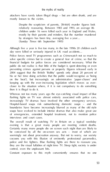attackers have rarely taken illegal drugs – but are often drunk, and are

Despite the scepticism of parents, [British] murder figures look mostly by that parents and minders. But the number murdered *day* were killed or seriously injured in UK road accidents… public do not realise is that little of the budget is spent detecting or even closer to the situation where, if it is not compulsory to do something then it is illegal to do it. flashing lights on TV was almost entirely associated with police cars, Hospital-based soaps risk outnumbering domestic soaps – and the boundaries have become increasingly blurred as many of the old style of emergencies, extended hospital treatment, not to mention police evening is that a great many people are meeting violent deaths. cocoons you with this illusion of eminently professional paramedics, police and fire fighters. Blue flashing lights are there to reassure you, they are the visual lullabies of night time TV. Sleep tight, society is under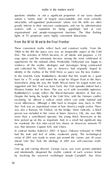questions whether or not a significant proportion of our taxes should organisational and people-management functions. The blue flashing

1960s to the 80s the space race was an inseparable aspect of the Cold War. The activities of NASA became, to all intents and purposes, a US superheroes for the national ethos. Predictably Hollywood was happy to reinforce all the mythic ideologies and stereotypes being constructed and cultivated by NASA. Just as America had originally forest in identity in the mythos of the Wild West, so space was the new frontier. In the mid-60s Gene Roddenberry decided that this would be a good Roddenberry's scripts reflect the liberal-humanist idealism of that era. escalating, he offered a radical vision which cast aside national and racial differences. Although a little hard to imagine now, back in 1965 was also a Russian, Mr Chekov, on the bridge. More radically, a black

In contrast Stanley Kubrick's *2001: A Space Odyssey* (released in 1968) ahead. Like *Star Trek*, the ideology of *2001* was self-conscious myth-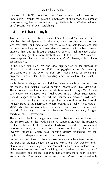(released in 1977) combined the 'final frontier' with interstellar imperialism. Despite the galactic dimensions of the action, the combat *the myths of reality* in one-man fighters is reminiscent of gunfights outside Western saloons, or of Second World War dogfighting. myth reflects back as myth

Twenty years on from the invention of *Star Trek* and *Star Wars* the Cold

spectacula rly. In the 1960s both *Star Trek* and *2001* piggybacked on the success of NASA. Thirty-odd years on NASA now piggybacks on *Star Trek* by employing one of the actors to front press conferences, or by naming

'Reagan stood at the internetiens where dreams and really meet the<br>2004), whereby 'misinformation' becomes replaced with 'dreams' and fact, Reagan<br>2004), where the blurring the boundary between fantasy and fact, Reagan

stands at their 'intersection'.<br>The antics of the Lone Ranger now seem to be the main inspiration for<br>the 'scriptwriters' of the world's gung-ho superpower, with the president

mythology underpinning modern day culture. Just as most traditional myths use violence and/or a heightened sense of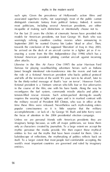such spin. Given the prevalence of Hollywood's action films and most politicians, including several American presidents, are either For the last 25 years the clichés of cinematic heroes have provided role seemingly reliable countries cowboy when announcing in the role of a fictional American president who bucks political protocol and tells all the terrorists of the world. The your turn to be afraid. Just to tension-filled rescue mission. Such action-packed derring-do usually popular consciousness on it is little sensitive that the military accomplishments – or lack of – by George W. Bush and John Kerry were imaginary beings because, as with all major politicians, we know them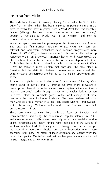

# the threat from within

The underlying theme of heroes protecting 'us' (usually the 'US' of the fantasy (although the deep racism was most certainly not fantasy), extraterrestrial encounters. Bush eras, the 'final frontier' metaphors of *Star Wars* now seem less blurred. In *ET* (1982), a less-than-threatening homesick alien takes up on the nearest mirror. There are clear parallels here with the fears of 'invasion' and of the xenophobia and racism lurking rather too close to the surface of in such magazines as *Fortean Times*.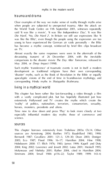

Such mythic 'transference' of traumatic events is not in itself a modern development as traditional religions have their own corresponding 'disaster' myths, such as the Book of Revelation in the Bible or equally corresponding Hindu myths in *Shatapatha Brahmana*. living in a mythical world

heroes, monsters, presidents and aliens. science.

 $\overline{\phantom{a}}$ 

sources are Armstrong 2004; Barthes 1973; Baudrillard 1983, 1990;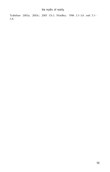

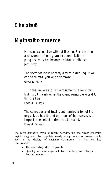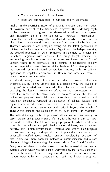*the myths of reality*

 $\cdot$  the main motivation is set of the main motivation is set of the main motivation is set of the main motivation is set of the main motivation is set of the main motivation is set of the main motivation is set of the ma · Ideas are communicated in numbers and visual images.

Implicit in the overriding notion of growth is a crude Darwinian notion

As already noted, history is created according to how you filter the disc constraint terms of the reaches trade to reach of the reaches priced determined beyond at reach of the reaches of the reaches of the reaches of the reaches of the reaches of the reaches of the reaches of the reaches the world a better place? Given enough progress the whole world can genetically-modified foods, nuclear energy, accelerating depletion of fossil fuels, ever-more complex methods of communication, and a vast systems about which we have little understanding. Inevitably, sooner or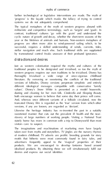further technological or legislative interventions are made. The myth of systems we do not adequately comprehend. The typical metaphors of the myth of western progress abound with cyclic nature of growth and decay, whether the short-term seasons of the successful, requires a skilled understanding of winds, currents, tides,

Just as western colonisation required the myths and cultures of the western progress requires our own traditions to be trivialised. Disney has thoroughly trivialised a wide range of once-vigorous childhood versions of folktales, Disney versions perpetrate simplistic and entirely different ideological messages compatible with conservative 'family values'. Disney's *Snow White* is presented as a model housewife, And, whereas once different variants of a folktale circulated, now the truncated Disney film is regarded as the 'true' version from which other Likewise the heritage industry has re-invented the past in a suitably The imaginations and machinations of marketing men have largely of modern childhood. TV adverts are prolific breeding grounds for story motifs that hitherto were most commonly found in fairy tales, and advertisers frequently appeal to the 'magical' properties of their products. We are encouraged to develop fantasies based around desires and express our social identities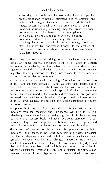Advertising, the media and the information industry capitalise<br>on the translation of people's subjective desires, emotions and<br>factors: the translation of ideal and desired products. Such images bypass individual tastes and preferences by being presented as universally, appeling they the create a curious<br>notion of commonality, based on the assessments that<br>belonging to a culture amounts to desiring the same commodities desired by virtually any other individual inhabiting that culture. In this illusory community, people are that connects them is an abstract network of representations. (Cavallaro 2000: x)

Just as any suggestion that agriculture is still a key factor in western to national economies as consumption. And what is it we are mostly consuming? Distractions and desires. We desire is never attained. The resulting relentless consumption drives the economy onwards. Except the physical result – from a new CD to a foreign holiday – is less important than the meaning and significance we give to it. We relentlessly consume the *idea* the 'reality' signifies. So, in the same way symbols'. However this has now changed. 'Everyone' now owns a wealth of 'essential' appliances along with any number of gadgets and gizmos. It is not the object itself which is now important but rather its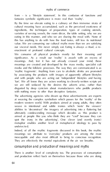

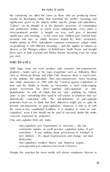the *consuming* are often the same as those who are *producing* (more significance given to the objects within specific groups and subcultures. 'Culture' can be thought of as the dynamic processes of consumption mass-produced product is bought we may well give it personal favourite soft toys, so adults become fixated by 'their' wristwatch,

gay men. enter the anti's

With huge irony we even produce and consume anti-consumerism products – books such as *No Logo*, magazines such as *Adbusters*, films to this attitude, this subculture, than anti-consumerism. Since breaking into wider awareness in 1999 with the 'Carnival against Capitalism' in protest movement has been labelled 'anti-capitalism' or 'antidialectical contrast with. The self-definition of anti-capital termed 'anti-hegemony' or 'post-capitalism'. However, if only to fit with

One anti-capitalist Web site states:

communist nations on earth practice capitalism today. It isn't anarchism – it says nothing about government or freedom. It Despite this assertion the mass media will always emphasise Marxist or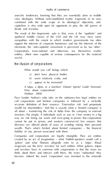anarchic tendencies, knowing that they are sessentially alien to middle apolitical middle classes of the USA and the UK may have some sympathes will the extent to which modern governments too often electorate, the 'anti-capitalist' movement is perceived as far too 'other'. Corporations, trans-national and otherwise, are themselves mythic

the illusion of corporations

a) don't have physical bodies b) seem relatively crafty, and c) appear to be immortal?

Paco Xander Nathan's witty take on the substance-less legal entities we call corporations and limited companies is followed by a wickediwealth for shareholders.' And this is exactly what a 'limited company' is investors. Put simply, if individuals such as you or I lose money in abig directors are offered plenty of ways of avoiding risking their personal

created by an act of imagination – what Yiddish-speakers would call a magicians use the term 'servitors' for such entities. What golems, tulpas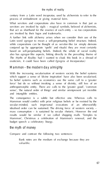*the myths of reality*

servitors are invoked by sigils – magical symbols, beloved of alchemists,

Mammon – the modern day almighty

and intangible entities. The consequence is a subtle but effective one. Whereas calls to Mammond would conflict with prior religious beliefs or be resisted by the religious beliefs of the religious beliefs of the religious beliefs of the religious by the religious by the religious by the religious by the relig budget speech a celebratory liturgy. the myth of money

Compare and contrast the following two sentences:

Bank notes are the medium of exchange because they are valuable.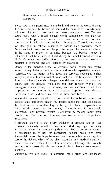Bank notes are valuable because they are the medium of *myths of commerce*

will the give you in exchange? commodities in valuable commodities such as such There is simply fain the value of money is sustained because we believe money is 1930s Germany and 1990s Moscow, bank notes cease to provide a Indeed money hides some complex – and usually exploitative – social to buy a pint of milk and a loaf of bread makes us the beneficiaries of the time and effort of the shop keeper, the delivery offers the shop and then a shop and the dairy and the dairy of the system contains and and the dairy of the the First World is wealthy largely through the blatant exploitation of Third World labour. In our 'reality' (although not in imaginable A different analysis is that every producer of products and services require sufficiently wealthy consumers. Marketing hype is fairly transparent when it is promoting gadgets and gizmos, and even when it is persuading us to pay for purchasing popular music and other

Statistically we are likely to consume more drugs and healthcare

68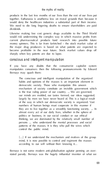products in the last few months of our lives than the rest of our lives put would do to the healthcare industries a substantial part of their income. We need to die long lingering deaths to ensure shareholders are paid current pharmaceutical products fund research into possible future become profitable in the near future. Stock market values drop off

If you have any doubts that the consumerist capitalist system

mechanism of society constitute an invisible government which our minds are molded, our tastes formed, our ideas suggested, numbers of human beings must cooperate in this manner if politics or business, in our social conduct or our ethical thinking, we are dominated by the relatively small number of persons ... who understand the mental processes and social

[…] If we understand the mechanism and motives of the group stated parody. Bernays was the hugely influential inventor of what we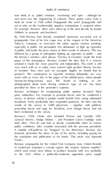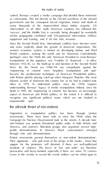'engineering of consent' were forgotten; manipulation and 'spin' became the predominant techniques of American Presidential politics, aspect of American and British politics, to the extent it is difficult to recognise any significant political issues which are not cloaked in

## the ultimate threat of non-violence

Opposition to manipulative politics has been through 'protest movements'. These have been with us since the 1950s when the Protest movements present themselves as non-violent 'demonstrations'.

incidents of violence. The forces of 'law and order' are therefore crews in the vicinity to record the events (editors can be relied upon to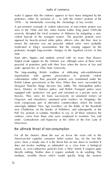make it appear that the violence appears to have been instigated by the A pre-eminent example of violent subversion of non-violent protest was seen in the 1950s and 60s, when Martin Luther King junior (1929–68) vided board of the trained system. The peaceful protest were opposed by heavily-armed white police officers who did their best to implicated in King's assassination. But the ensuing support for the Soon after, hippies and students armed with no more than flowers helped aroks support for the Vietnam war, although some of these most order opened fire at Ohio State University. The long-standing British tradition of infiltrating anti-establishment organisations with *agentes provocateurs* to promote violent confrontation rather than peaceful protests was maintained under the British Labour successors at the time. When they were successful by force, Ministry of Defence police, and British Transport police were Orgreave and elsewhere), unionised print workers (at Wapping), the stateringly dubbed 'New Age travellers' (at the Battle of the Battleton near Cholleches on the border of Wilshire), and subsequently at the Mam mon. For all the rhetoric about the war on terror the main risk to the American-led capitalist consumer belief system has, for the last fifty years, been a simple one. It is the threat that on one dares to mention. It

literally nothing. Neither does it require anybody to do anything. This insidious, invisible threat which would quickly bring the western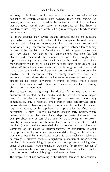economy to its knees simply requires that a small proportion of the we *consume*. light bulbs, buying cars with better petrol consumption, the real threat is items or via fully independent chains of supply. If between ten to twenty cars, new clothes, new gizmos, mass entertainment, food from fast food chains, and minimised the amount of food they bought from make their own clothes, or keep old cars on the road economically, sensible use of independent retailers, charity shops, car boot sales, atheists see in recent to working in church, so those whose distribute extends to economic myths have no reason to pay the customary observances to Mammon. This strategy means ignoring the desires for novelty and statusenhancement created by the media and the advertisers who support disproportionately. Non-consumption is undemocratic in that it does not require a majority of the population to support it for the effects to be devastating. As such it is well-placed to counter party politics, where example about forty percent of the vote (which, allowing for non-voters, probably equates to not much more than twenty percent of the adult way there would be a worldwide economic catastrophe (in reality the duties of unnecessary consumption). In practice a far smaller number of most concerted political lobbying could ever achieve.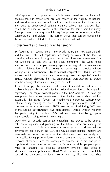raghs of contains<br>Sale system it is an powerful that it is more insurance of a fac could<br>have then in power with our well as a powerful of the first of an entry<br>and well as compared above to strain the tracks for the first the media and escalated by the forces of law and order. government and the capitalist hegemony

issues. Without changing the TNC environment then attempts to protect

It is not simply the specific weaknesses of capitalism that are the of the Labour government's own spin doctors, Derek Draper, reported

eight people sipping wine in Kettering'). Over the last decade democratic capitalism has proved to be poor at both social equality and planning for the future. These are exactly the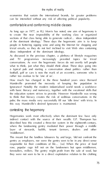economies that sustain the international brands, far greater problems can be intensified without any risk of affecting political popularity. *the myths of reality* comfortable and conforming middle classes

ideas independent of the dominant ideology.

As discussed in the previous chapter, a plethora of lifestyle magazines rather too zealous to be 'one of us'. How much has changed in the three hundred years since Bernard

Ignorance? Notably the modern industrialised world needs a workforce to think that therein creates the risk of seditions conversations in the this way Mandeville's desired Ignorance is maintained.

contesting the hegemony<br>component contest Hegemonies work most effectively when the dominant few have only described how this created a three-tier system in the eighteenth century, layer of stewards, bailiffs, tenant farmers, dealers and other This meant that the landless labourers by and large, 'did not confront the

rose, popular rage fell not on the landowners but upon middlemen, they were not seen to be in adirect exploitative relation to the clothing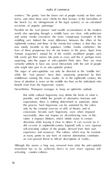

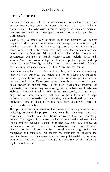arenas for contest

But where does one look for 'self-activating counter-cultures'? And how do they become 'vigorous'? The answers lie with what I term 'folkloric together, are most likely to reinforce hegemonic values). In Britain the singers, Mods and Rockers, Northern disclosed, punks, hip hop and rap imported from America, the others are, to all intents and purposes, 'home grown' British projekt cultures. Their formative phases were in<br>no way mediated by TV or newspapers (although the mass media were<br>quick enough to subject them to the usual heaviers of mass media by the media recently. resources' – exactly who the British contents-culture has repeatedly media and the education system to restrict awareness and impose an uncontested world view of subordination and powerlessness. Nevertheless such blinkers can be removed and the hegemonies then commerce. The next chapter attempts to recognise equally influential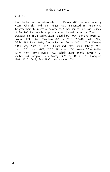



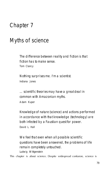Chapter 7 Myths of science fiction has to make sense. Tom Clancy

> Nothing surprises me. I'm a scientist. Indiana Jones

… scientific theories may have a great deal in common with Amazonian myths. Adam Kuper

Knowledge of nature (science) and actions performed in accordance with that knowledge (technology) are David L. Hall

remain completely untouched. Ludwig Wittgenstein

This chapter is about science. Despite widespread confusion, science is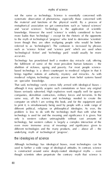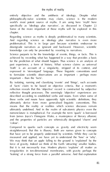entirely objective and the antithesis of ideology. Despite what philosophically-naïve scientists may claim, science is the modern *the myths of reality*

important – than the 'facts'. By isolating, naming and classifying 'events' and 'things', such accounts of 'facts' claim to be based on objective criteria. But a moment's

force of gravity. Indeed we think of the Earth 'attracting' smaller trucker<br>But it is not necessarily true. Modern physics 'explains' all matter the<br>crocological membranes the matter as the gravity perhaps the 'leaking' of a strong force from a parallel universe. And that explanation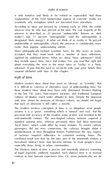is only tentative and likely to be refined or superseded. And these essentially only metaphors which are borrowed from elsewhere. According to ideas put forward by scientists early in 2004, the visible designed 'dark energy'. If what we think of as reality is 96 percent exotic than popular understanding admits.

signified by undefined terms. What are these 'basic unknowns'? Well, they include space, time, force and matter. Yes, you read that right. Just

it is difficult to conceive of alternative ways of understanding time. Yet in the last 150 years. Non-western societies, and traditional European cultures all display much wider attitudes to time. Despite the obsession The modern western conception of time is so ubiquitous most people assume it is a 'given', something which is 'natural' and 'real'. But the ind-nineteenth century. The new-familial railway network required a 'local times', which could differ by many minutes. To ensure railway passengers did not miss connections, the railways brought about a of factories required adherence to consistent working hours. The combined result was that, by the later part of the nineteenth century a formalised 'abstract time' had became intrinsic to most people's lives,

contrast to how humans experience time. Or, more productions, we of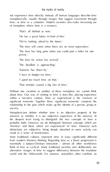not experience time *directly*. Instead, all human languages describe time of metaphors where time is a resource.

'That's all *behind* us now.' 'He has a great future *in front* of him.' 'The time will *come* when there are no more typewriters.'

Metaphysicians debate whether time is an objective property of the universe or whether it is our subjective experience of the universe. At distinctions are subjective: being deeply absorbed in some activity can result in a sense of timelessness. Most traditional cultures represent time in ways significantly different

world and the Otherworld. For instance, storytellers often combine an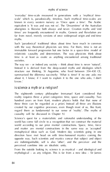'everyday' time-scale measured in generations with a 'mythical timeknown in every western nursery as 'Once upon a time'. The Arabic Such 'paradoxical' traditional ideas about time have much in common time is at least as exotic as anything encountered among traditional about it, I know; if Iwant to explain it to the one who asks, I don't

know.' is science a myth or a religion?

The eighteenth century philosopher Immanuel Institutental Ant these three can be regarded as *a priori*. Instead all three are illusions regard them as fundamental to our sense of 'reality'. (The myths of causality will be discussed in Chapter 9.)

and matter are mental constructions in the same way as 'accepted' opposite way. Such scientists and mystics concur that subject and object are indistinguishable, self is also 'other', and the perceiver and the perceived combine into an idealistic unity.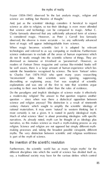

different disciplines into which the world of science has divided itself as, say, a traditional society may have for the various deities which control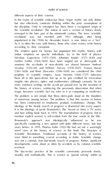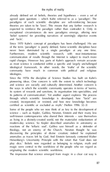already defined set of beliefs, theories and hypotheses – even a set of *the myths of reality* ideologies. Since the 1970s the discipline of Science Studies has built on Kuhn's its system of rewards and sanctions, its organisation into specialities, and its patterns of communication'. Yet another aspect explores 'the process through which scientific knowledge is developed, how "facts" are certified as scientific or excluded as myth.' (Nellise: 1996: 32–3) magic were central to the worldview of the people who we regard as originating the modern scientific worldview.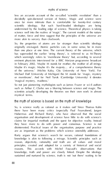

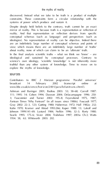discovered. Instead what we take to be truth is a product of multiple systems of power which produce and sustain it. conceptual schemas (such as language) and perspectives (such as ideologies). No representation of reality can be objective. Indeed there view; which means there are an indefinitely large number of 'truths' science's own ideology, 'scientific knowledge' is not inherently more truthful than any other system of knowledge. Time to move on to explore the myths of knowledge.

sources

Contributors to BBC 2 *Horizon* programme 'Parallel universes' Ashman and Baringer 2001; Badiou 2003: 53; 58–68; Carroll 1987: 111; 2005: 14; Cohen 1994; Dawson 2014; Delacampagne 1996; 250-3; Fauconnier and Turner 2002: 195–8; Feyerabend 1975, 1987; *Fortean Times* 'Why Fortean?' (in all issues since 1980s); Foucault 1977; Kuhn 1970; Kramer and Alstad 1993:266; Kuper 1988: 13; Lakoff and Johnson 1999: 141–69; Lyotard 1984; Nelkin 1996: 32–3; Rorty 1980;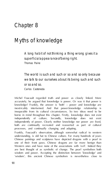

Michel Foucault regarded truth and power as closely linked. More inextricably intertwined. And that power:knowledge relationship is inseparable from its cultural circumstances. So two ideas need to be independently of culture. Secondly, dependently does not exist. both are continually recreated and recorded as part of cultural processes, and continually changing and adapting. are best thought of as symbolic of change. The pearl symbolises both 'wisdom', this ancient Chinese symbolism is nevertheless close to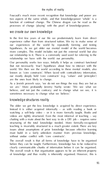Foucault's much more recent recognition that knowledge and power are two aspects of the same whole, and that knowledge:power 'whole' is a we create our own knowledge

In the first few years of our life we predominately  $\mathcal{C}$ our mostly deep held 'core construct and  $\sim$ sometimes necessary to change what we believe.'

knowledge structures reality

videos are tightly structured. Even the most informal of teaching are the most informal of teaching – says are the most informal of teaching are the most informal of teaching are the most informal of teaching are the same before they can be taught. Furthermore, knowledge has to be reduced to clearly communicated chunks of information before it can be organised.<br>A formation before it can be or produced before it can be organised. of knowledge and thus reality is inherently organised. However, this is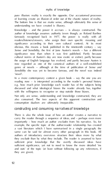*myths of knowledge*

pure illusion: reality is a section to opposite. Our accustomed processes of the original processes understanding we have created is illusory. Knowledge – and the power it accrues – is always constructed. The similicance now than when it was that published. Partly because now regarded as one of the canonical authors of a well-established genre of novels – although at the time of publication of *Sense and Sensibility* she was yet to become famous, and the novel was indeed also consumed. The two aspects of this apparent construction and example, the specific topic of the author:reader relationship from creation they *exclude* than by what they include. The reader is assumed to have and outs' of the topic (at least without following up any references, if they are given).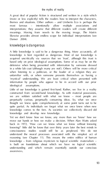A great deal of popular fiction is structured and written in a style which (more or less explicitly) tells the readers how to interpret the characters, themes and situations. Other authors – and Umberto Eco is perhaps the meanings. Moving from novels to the moving image, *The Matrix*

'mysteal' understanding. We are least critical when presented with Little of our knowledge is gained first-hand. Rather, we live in a reality constructed from second-hand knowledge. As with material possessions, move our hands or how we make a decision. When Alan Watts asked reasoning (see Chapter 11). This means the entire edifice of human<br>knowledge – from religious mysticism to logical scientific materialism<br>knowledge – from religious mysticism – from religious about when understanding and which remain essentially outside our conscious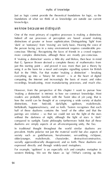

knowledg e.

we know because we distinguish

One of the most primary of cognitive processes is making a distinction. Indeed all our processes of perception are based around making conscious 'filterial'. Recognising the factor of friends in a crowd requires more complex distinctions, although these are mostly pre-conscious. If 'making a distinction' seems a little dry and lifeless, then bear in mind just this starting point – and proved it was more than just a theory by Rail in the 1960s. For that matter 'making a distinction' – breaking everything up into a 'binary bit stream' – is at the heart of detail

'making a distinction' is intrinsic to how we construct knowledge. Most readers are probably familiar with the Taoist idea of *yin yang*, that is distinctions, from hot-cold, dark-light, up/down, male/female, half of these dualisms contains the 'seed' of the other and that the pairings are relative – so that we could not see the light of the stars compared to such<br>the furthermore industry furthermore, better that all these In traditional thought throughout the world similar dualisms are society such as gods/humans, hero/monster, servant/king, rich/poor, older/younger, male/female, chaos/order, destructive/constructive, expressed directly and through widely-used metaphors.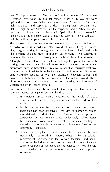week?'). 'Up' is unknown ('The decision's still up in the air') and down is 'settled'. We 'wake up' and 'fall asleep'. More is up ('My pay went up') and less is down ('Sales have gone down'). Virtue is up ('She has  $T_{\rm eff}$ like. Nothing changes much in modern day thinking – we continue to demonise the 'underworld', linking it metaphorically with criminals. western society in recent centuries. For example, there have been broadly four ways of thinking about nature in Europe during the last few hundred years: 1. In medieval times 'nature' equated to the whole of God's creation, with propin being an undifferentiated part of the 2. By the end of the Renaissance a more secular and rational this 'alienation' from nature, in that a landscape painting is viewed as an object, by a viewer who is entirely 'outside' the topography depicted. 3. During the eighteenth and nineteenth centuries humans increasingly intervened in 'nature', whether by agricultural improvement, science, and the various technical and social to 'nature'.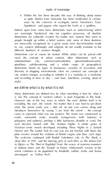

4. Within the last three decades this way of thinking about nature ways by the concerns of ecologists, James Havelbell's 'Gaia hypothesis', and pagans who regard the Earth as a goddess. in, say, eastern philosophy and religions do not readily translate to the rural, the concept of urban contains other distinctions such as suburban/inner city, commercial/residential, upmarket/downmarket, distinctions based on types of businesses, varieties of recreation, and city centres changes according to whether it is a workday or a weekend, night. we define what *is* by what it *is not*

Many distinctions are defined less by what something *is* than by what it *is not*. The concept of 'western culture' is used frequently in this book. introduces themselves by saying 'I am from the orient' – the concept polygamy and sodomy), perhaps a little barbarous, fiendish or cruel. The orient continues to be populated by fiendishly sadistic Arabs and Asians

stereotyped as 'Yellow Peril'.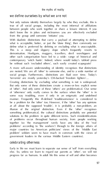we define ourselves by what we *are not*

what is acceptable, better, or just the 'done thing', then commonly we contemporary 'witch hunts'. Indeed, where would today's tabloid press be without such 'excluded others', such easily created scapegoats? social groups. Furthermore, distinctions are fluid over time. Today's 'terrorists' are mostly yesterday's CIA-backed 'freedom fighters'… Creating distinctions by excluding what something is not is widespread. of 'other'. And only some of these 'others' are problematical. Our sense some way troubling, even if only in an enigmatic and undefined  $z \equiv$ solutions to the problem in quite different terms. Such misidentifications major countries (so American politicians' views of the 'Middle East government leaders in the various Middle Eastern countries). celebrating otherness

else. So, unless we learn to regard our parents as 'other', we will not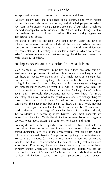

Western society has long established social constructions which regard women, homosexuals, non-white races, and disabled people as 'other'. depend in compatible with our ideals. The 'other' is the stranger with the straight of the straight of the stranger within, The sense of other is inevitable. We could never sustain the level of political correctness needed to include all the excluded others into one we can celebrate it, creating a multiplex culture in which we are all with diversity of others.

nothing exists without a distinction from what it is not

Such examples of 'otherness' in politics and culture are only complex Events, ideas, and everything else can only be identified by are simultaneously identifying what it is *not*. For those who think the 'facts' this is seriously disconcerting. Everything we 'know' (or, more convincing. The integer number 2 can be thought of as a whole number which is not bigger or smaller than itself. But the number 2 can also be used to denote a wider range of quantities from 1.5 to 2.4999… Already the boundaries are becoming more blurred. And most concepts are obvious, what about bacon and gammon, or bacon and ham? Creating dualisms such as light/dark and wet/dry is 'hardwired' into our perceptions. However more 'sophisticated' (and more-or-less arbitrary) culture from animal thinking (no prizes for spotting the self-referential ironies in that sentence!). They are fundamental to how we create and

amorphous. 'Knowledge', 'ideas' and 'facts' are a long way from being dualistic distinctions based on our perceptions and cultural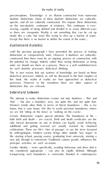preconceptions. 'Knowledge' is an illusion constructed from numerous on the non-dualistic continuum of existence. This continuum is everas there are viewpoints. Reality is not something that can be cut up Except that there is no bucket to define the extent of the water… dualismsand dialectics

Until the previous paragraph I have presented the process of making distinctions as comparatively state theories of dualisms as culturally-comparative interactions are culturally-<br>Associated by characterized after the static distinction in both for such dualistic processes: dialectical thinking.

# betwixt and between

'that' – but also a boundary area, not quite this and not quite that. Western minds often think in terms of literal boundaries – the is my we are left 'sitting on the fence' or 'walking on the cracks'. Certain 'distinctions' require special attention. The boundaries of life – only formal documents no one in Britain can legally avoid. Achieving adulthood and getting married are usually marked by ritualised by anthropologists. Modern society brings other notable 'key stages' to principal activities on such occasions. transgressing such boundaries is commonly flaunted in contemporary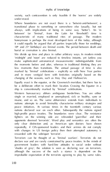*myths of knowledge*

society, such contravention is only feasible if the 'norms' are widely honeymoon is perhaps the most developed form of this today, although 18th and 21st birthdays) are liminal events. The period between death and 'midnight' and 'noon' are reduced to timeless instants, yet (unless you make sophisticated astronomical measurements) indistinguishable from less moments than transitions. The annual passage of time is also changing of the seasons, such as May Day and Hallowe'en. ship is conventionally marked by 'liminal' celebrations. Western bureaucracy abhors ambiguous borderlines. You are either single or married, employed or unemployed, sick or healthy, sane or nations declared war on each other. Subsequently the nations signed high-profile peace treaties. The boundaries were clear. The resistance with changes in US foreign policy that their attempted automobile is 'shades of grey', the solution is seen as declaring war on terrorism, although the success of the such a stance is dependent on the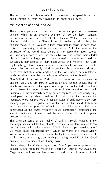about warfare as their near-invisibility to organised armies. the invention of good and evil

thinking, which is an excellent example of how an illusory concept becomes mistaken for a 'real' distinction. Despite William Shakespeare's thinking makes it so', Western culture constructs its sense of how 'good' rain reflects the character was more scentish received in multito be evil that they were anything of the sort. Indeed certain Islamic of the New Testament. However not until the Inquisition was well Inquisitors were not seeking a direct admission of guilt. Rather they were constructed as the *cause*. With this cause comfortably established, the

The Christian sense of the reality of evil is strongly evident in the we would cannot construction 'with the in the words of a phrase widely Nevertheless, the Christian quest for 'good' permeates present day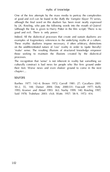

by J.K. Rowling, who puts the following words into the mouth of Quirrel examples of fragmentary references to the underlying myths of a culture. on the undifferentiated nature of 'raw' reality in order to (quite literally) those seeking to maintain the illusions created by the dialectical The recognition that 'sense' is not inherent in reality but something we their feet. Worse news and even shakier ground to come in the next

50–2, 55, 144; Danser 2004; Doty 2000: 331; Foucault 1977; Kelly Said 1978; Trubshaw 2003: ch.8; Watts 1957: 58–9, 1972: 414.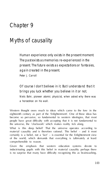

The past exists as memories re-experienced in the present. The future exists as expectations or fantasies, Peter J. Carroll

Of course I don't believe in it. But I understand that it brings you luck whether you believe in it or not. Niels Bohr, pioneer atomic physicist, when asked why there was

exhaust century as part of the 'Edithiopian'. One of these deas has people have great difficulty with accepting that it is not fundamental to What is this deep belief? That the universe operates according to material causality and is therefore rational. This belief – and it most certainly is a belief, not a 'fact' – is essential for the Enlightenment view comprehensible to reason. Given the emphasis that western education systems devote to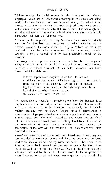

Theining outside this belief system is also hampered by Western fairness, most of our technology has been designed to operate according A useful parallel is perhaps the way Newtonian mechanics is perfectly Einstein revealed, Newton's model is only a 'subset' of the more causality is only a 'subset' of a far less predictable model for the Technology makes specific events more probable, but the apparent ability to cause events is an illusion created by our belief systems. Causality is a cultural construct. Or, as Gilles Fauconnier and Mark deeply embedded in our culture, we recall recognise that it is not investin reality. Just to add to the confusion, unfortunately we frequently with an independent closed process (railway timestable). However in our observations of many social activities – and, indeed, our best regarded as two phases of one and the same event. We are quite 'front' without a 'back' (even if we can only see one or the other). If we when it comes to 'cause' and 'effect' we frequently make exactly this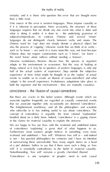One source of this error is western languages. These impose causality as if it is inherent in perception. More accurately, the structure of these languages do not distinguish clearly between verbs and nouns. The also the process of 'cupping'. Likewise words that we think of as verbs – Chinese does not require constructions such as 'I know', 'we knew' – the word 'know' alone suffices without needing a 'knower'. Likewise evolutionary theories discuss how the species or organism adapts to the environment or ecosystem. But this way of looking at events to enable us to create an illusion of cause-and-effect) and what both the organism and the environment – they are mutually causative. coincidence – the illusion of causal connections

that we associate together only occasionally are deemed 'coincidence'. The Enlightenment worldview, and all the philosophers and scientists who subscribe to it, has nothing useful to say about coincidence. The concept of coincidence is arguably the least rational 'explanation' in the claims for material causality to explain the universe. of coincidence 'explaining' a great deal of what happens to us. irrational and undefined – 'free will'. Whatever free will is – and indeed is not – has puzzled philosophers for centuries and Ihave no intention of summarising these unresolvable 'how many angels dance on a head of a pin' debates. Suffice to say that if there were such a thing as 'free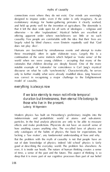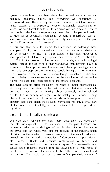systems (although *how* we think about the past and future is certainly 'exist' except as anticipations, whether reasonable expectations or are 'real' and most are 're-creations'.<br>If you find that hard to accept then consider the following three.<br>examples. Firstly, court proceedings today may determine whether a Most probably, what they each say about the situation to their respective friends will bear little resemblance to the other's accounts. The third example arises frequently, as when a major archaeological  $\label{eq:3.1} \begin{split} \text{propto} &\text{m} \rightarrow \text{m} \rightarrow \text{m} \rightarrow \text{m} \rightarrow \text{m} \rightarrow \text{m} \rightarrow \text{m} \rightarrow \text{m} \rightarrow \text{m} \rightarrow \text{m} \rightarrow \text{m} \rightarrow \text{m} \rightarrow \text{m} \rightarrow \text{m} \rightarrow \text{m} \rightarrow \text{m} \rightarrow \text{m} \rightarrow \text{m} \rightarrow \text{m} \rightarrow \text{m} \rightarrow \text{m} \rightarrow \text{m} \rightarrow \text{m} \rightarrow \text{m} \rightarrow \text{m} \rightarrow \text{m} \rightarrow \text{m} \rightarrow \text{m} \rightarrow \text{$ significant. the past is continually reconstructed archaeology followed, which led in turn to 'queer' (not necessarily in a sexual sense) readings created from the viewpoint of a wide range of people who considered themselves to be 'other' to the established perspectives. The result has been a wonderfully pluralistic variety of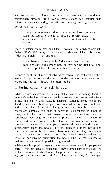



… our common sense strives to create an illusory certainty connections. History is builded it is as indeterminate as the future.

'controlling the past' through the mass media. controlling causality controls the past

'fixed' – houses are built, people move in, children are born, people die, ways, with the result that many different explanations can be constructed according to how the emphasis is placed. The nature of human and social identity is such that we tend to 'fossilise' key events in concise natratives. For example I often tell new friends how I complex version of the story would have to weave in a large number of 'arbitrary' events and 'mini-decisions' that would greatly reduce the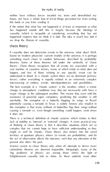neither have military forces invaded my town and demolished my *the myths of reality* house, nor have a whole host of trivial things prevented me from writing this book or you from reading it. we drop the illusion of causality.

based on modern physicists' current models of the universe, it is perhaps something much closer to random behaviour, described by probability interweaving of entities, events, interdependencies and possibilities. politicistik, visuoma ja teritoriko tai hisaan ta saldetta. Suureen alkaa tangko ta sa.<br>Nen sivattajiksi ja Selai raama, saldettaa alkaa kalla sella saldettaa viittoja sellisti.<br>Viitentää ja teritoriko taa sivasti lainetta

of thinking of chaos theory is that it describes situations which are so complex that we cannot have to have sufficient understanding as they territory of quantum physics, where (a) events are probabilistic, and (b) Science resorts to chaos theory only when all attempts to derive more rationalistic theories are deemed impossible. Intriguingly, many of the 'big problems' of physics are among those where the light of Enlightenment causality fails to shine. As these underlie most other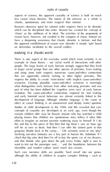

chaotic, spontaneous, and more magical than rational. reason have, however, not resulted in the conquest of chaos. Instead we have a deepening awareness that chaotic disorder is intrinsic and that on skirmishes incidental to the overall conflict.

There is one aspect of the everyday world which most certainly is an that are apparently entirely lacking in other higher primates. This scenarios. Creating plausible cause-and-effect scenarios is seemingly part of what has been dubbed the 'cognitive arms race' of early human evolution. The cause-and-effect connections required for the continue development of language. Although whether language is the cause or effect of causal thinking is an unanswered (and deeply ironic) question. concepts of causality are developed at an early age, even though the reasons children offer may be flawed. Anyone who has watched a child effort to imagine an ancient ancestor muttering away to himself 'If Ido and that blonde who goes down the pub every Friday night is sure to Mesolithic and modern culture seem much less certain. Such core narrative skills are possibly 'hard wired' into our genes, although the ability of children to acquire complex thinking – such as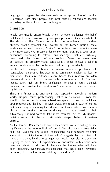language – suggests that the seemingly innate appreciation of causality is acquired from other people, and most certainly refined and adapted according to the culture of our upbringing. divination

People are usually uncomfortable when someone challenges the belief that their lives are governed by complex processes of cause-and-effect. physics, chaotic systems) runs counter to the human brain's innate experience according to patterns and ideologies that are culturally perspective, this probably makes sense as it is better to have a belief in 'confabulate' anarrative that attempts to consistently explain (at least to the classifiers) over the their reasons are often<br>or conserve structure many terms are one Indeed, every night our brains confabulate for several hours, although not everyone considers that our dreams 'make sense' or have any deeper There is a further large anomaly in the supposedly rationalistic modern world. Despite much pooh-poohing, belief in divination – from the tarot readings and the like – is widespread. The recent growth of interest in Chinese *feng shui* among the educated western middle classes shows clearly how easily modern marketing can graft 'exotic' (albeit As the famous Rorschach ink blot tests confirm, we are willing to see significance in the most unlikely of stimuli. We also have a great ability some kind of divination or 'fortune telling' suggests that the client will meet atall, dark, handsome stranger next week, then clearly that client

or merely the result of many arbitrary 'coincidences'.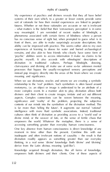*myths of causality*

futures. Whether or not these rationales are accurate or not is irrelevant way meaningful. I am reminded of recent studies of blindsight, a experiences of learning to down for water and buried archaeological When we use divination, oracles and omens we are creating a symbolic relationship to the 'real' problem. Such symbolism is often based around

metodies for an object or image is understood to be an attribute of a aspects. Complex connections can be wound between the meaning significance and 'reality' of the problem, project

inadequate and often irrelevant notions of causality – the result is that divination readily appears as something greater than our everyday thinking, in a real sense 'divine' knowledge (both 'divine' and 'divining' derive from the Latin *divinus*, meaning 'god-like'). Knowledge acquired through divination, like all forms of knowledge, empowers both diviners and their clients. One of these aspects of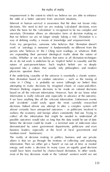that we believe we are no longer simply 'taking a risk'. Divination is a way of defining reality, a means of knowledge and empowerment. If the underlying causality of the universe is essentially a chaotic system, *the myths of reality*

medium-sized businesses).<br>The reality of decision making in politics, business and our private<br>affairs is that we go through the motions of collection and analysing most of the key decisions made in the 'rational' western world are not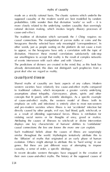*myths of causality*

probabilities. Little wonder then that divination 'works' so well – it is more closely related to the underlying random causality than seemingly The tradition of divination which surrounds the *I Ching* requires no causal connections. The manipulation of yarrow stalks or coins and the other words, just as people waiting on the platform do not cause a train divination. However, these mental correlations satisfactorily satisfactor

already demonstrated, this does not distinguish such prophecies from a

assumptions about telephone clairvoyance, during apply and other concepts that fit poorly with scientific disclosures. As a specific example emphasis on cells and infections) is entirely alien to most non-western directly caused by other people, evil eye, bad blood, guilt, witchcraft, or as a result of offending supernatural forces. Illness is retribution for displays one key characteristic of humans' abilities to 'confabulate' similar throughout the world. Mythologists tentatively attribute this to the 'diffusion' of myths that originated at an early phase of human evolution. Others might about to attribute the to 'hard wiring' in our genes. But these are just different ways of attempting to impose their own cause-and-effect myths. The history of the supposed causes of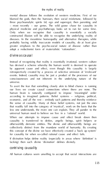mental disease follows the evolution of western medicine. First of we – most recently – our genes. The wild goose chase for causality in Only when we recognise that causality is essentially a socially diseases. In the meantime homeopathy and alternative therapies, while probably having wildly inaccurate models of causality, do at least give adopt a reductionist form of materialistic 'rationalism'.

Instead of recognising that reality is essentially irrational, western culture has devised a scheme whereby the human world is deemed to operate by apparent cause and effect, even though this causality is largely

To avert the fear that something closely akin to blind chance is running human brain is naturally configured to impose 'meaningful' order the sense of causality. Many of these belief systems, not just the ones less one understands, the more one can explain. They all pander to the causality is transferred to deities, angelic beings, spirit helpers or otherworldly demonic entities. The divine and otherworldly beings are this concept of the divine we have effectively created a 'back up system'

for causality for when so-called rational cause and effect fails.<br>If divination helps define reality (especially in areas where 'definition' is<br>forting) then such define 'definition' defines divinely. contribution of the

All human cultures seem unwilling to accept that social interactions are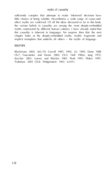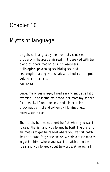

for a week. I found the results of this exercise shocking, painful and extremely illuminating… Robert Antonio Wilson<br>Wilson Wilson

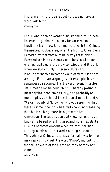

I have long been advocating the teaching of Chinese in secondary schools, not only because we must inevitably learn how to communicate with the Chinese themselves, but because, of all the high cultures, theirs is most different from ours in its ways of thinking. when we substitute different cultures and languages that we become aware of them. Standard

set in motion by the noun (thing) - thereby posing a metaphysical problem as tricky, and probably as

there is some 'one' or 'what' that knows, not realizing that the site of the fluoresce, between<br>that the longitude provided rule, as becomes obvious when we consider that raining needs no rainer and clouding no clouder.

Thus when a Chinese receives a formal invitation, he come.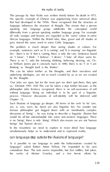This passage by Alan Watts was written shortly before his death in 1973. grey shared the same word in some Celtic languages.<br>The problem is much deeper than seeing shades of colours. For<br>example, sentences such as 'It is snown' are linguistic are linearies by the thoughts. 'Our tales are spon, but for the most part we don't spin them, they spin the<br>'Our or "Our spin them, they spin them, they spin them, they spin them, they spin the<br>'Our spin term in the spin them, they spin them in the spin process. However discussions of self-identity will be deferred until Chapter 12. Such illusions of language go deeper. All forms of the verb 'to be' (am, discussion of 'being' – he was trying to describe a linguistic illusion that simultaneously helps us to understand and to represent reality. can language step outside the illusions of language? 'Is it possible to use language to undo the hallucinations created by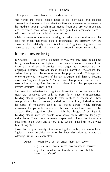

does not mean that these cultural preferences are arbitrary. On the contrary. On relatively new discipline of 'contrary, basebase' has revealed that the underlying basis of language is indeed systematic. the metaphors we live by

In Chapter 7 Igave some examples of way we only think about time through closely-related metaphors of time as a 'container' or as a 'flow'. Since the mid-1980s linguistics have begun to recognise that all languages describe abstract ideas through narrative metaphors that to the underlying metaphors of human language and thinking became

'building blocks'. Cognitive linguists refer to these as 'schemas'. These metaphorical schemas are very varied but not arbitrary. Indeed most of chapter. These contribut schemas might be thought of as linearly

English. I have simplified some of his finer distinctions to create the

e.g. 'The president must make a decision, but he seems *paralysed*.'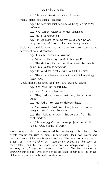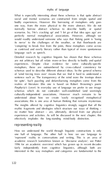

bodily experiences. However this borrowing of metaphors only goes one way, from the more physical to the more abstract. We do not its nerve' to the challenges of the weather, or that floorboards are language such as speech. Detailed research by cognitive linguists has shown that these schemas experiences. Despite clear evidences. As some culturally-specific of 'wind forcing trees over' means that we find ithard to understand a for spite'. Such puzzling and defamiliarising metaphors come from the realms of literature (this one is based on Robert Browning's poem schemas which do not contradict well-established (and seemingly mythic fragments and ideologies which structure our ways of thinking – in matter how abstract – are ultimately derived from our physical effectively implodes the long-standing mind-body distinction. representing reality 'represent' reality in conversations and writing. This is an area of

fairly independently from cognitive linguistics, although both are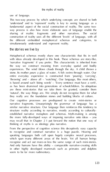This two-way process by which underlying concepts are shared to both 'understand' and to 'represent' reality is key to seeing language as a way process is also how more elaborate uses of language enable the construction of reality uses all the different 'levels' of language, with all the different embedded metaphorical schemas and categories, to

# the stories we live by

the way we construct meaning from everyday spatial and bodily entire everyday experience is constructed from 'pouring', 'carrying', is based around such 'doing words' – 'Every sentence must have a verb', as has been drummed into generations of schoolchildren. So ubiquitous are these mini-stories that we take them for granted, consider them narrative fragments. Unsurprisingly the grammar of language has a similar narrative structure. Our language then reinforces this tendency to structure reality according to narrative, mostly according to culturallyestablished narrative metaphors and schemas. Myth-making is among may recall that in Chapter 2 I put forward the notion that one way of thinking of myths is as ideology plus narrative. From the perspective of cognitive science this deceptively easy capacity speaking languages both call upon hugely complex neural processes, which span many different areas of the brain. Yet all human beings recognise and act out more-or-less the same range of such mini-stories. And only humans have this ability – comparable narrative-creating skills in other highly developed mammals such as primates and dolphins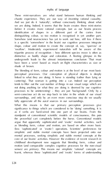

And we just do it 'naturally', without consciously thinking about what we are doing. Indeed, it seems that the brain creates these mini-stories identification of shapes in a different part of the cortex from is a specific 'somewhere' in the brain) our cognitive processes integrate 'swallow'. Moderately experienced naturalists will be aware of this tripartite process of recognition – how different species move is often as distinctive as bodily shape and coloration. A fleeting glimpse in the The blending of form, colour and motion is at the level of our most basic perceptual processes. Our compution of physical physical is deadly cantering). That woman is *getting into* a car. Indeed our perception tends to filter out the vast number of things in our visual range which are not doing anything (or what they are doing is deemed by our cognitive processes to be uninteresting) – they are just 'background'. Only by a fully appreciate all the aural sources in our surroundings. What this means is that our primary perception processes give significance to things which are considered to be 'doing' something. It is as if verbs are hard-wired into one part of our brains. From the argue that apparently such counts and 'exotic' mediat solutions and (less 'sophisticated' or 'locke') operations. Scientists' professions. Sc mental processes, seeking simplicity and stable mechanic concepts at the learnt, whereas these 'sophisticated' and 'exotic' forms of understanding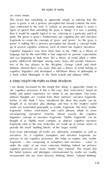

This means that something as apparently simple as noticing that 'the grass is green' is not a primary perception but already contains the ministory contracted to the verb 'is' (which, as previously noted, is more a figure of speech than something the grass is 'doing'; if it was a painting paint, 'the green is grass'). Furthermore, our cognition also uses narrative up of several cognitive schemas, each of which has implicit narratives. Cognitive linguistics may have been born in the 1980s as a theory of and was beginning to look more like a theory of mind, albeit a rather gawky adolescent interloper among some hoary old savants. However, Johnson, showed there was more than just a theory of mind lurking in

a deep insight into myths as deep structures

I am deeply fascinated by the insight that 'doing' is apparently innate to fragments' (where 'mini-stories' and catch phrases allude to more encompassing narratives) matches almost exactly the cognitive thought of as slightly more complex or abstract cognitive narrative narratives. So, if cognitive metaphors and narrative fragments are *primary* to our cognitive processes, this helps to explain why mythic fragments – also comprising of metaphors and narrative – come 'in under the radar' of our more conscious thinking. Indeed our primary the belief systems and ideologies communicated by myths are readily incorporated into our more primary thinking, before 'rational thinking'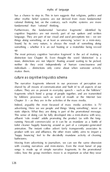

has a chance to step in. This in turn suggests that religions, politics and rational desting but, on the contrary, such mythic systems are more fundamental than 'rational' thinking.

Furthermore, the fundamental 'narrative fragments' identified by language. They are part of our visual and aural perceptions too – we see things *doing* something, or at least as unmoving 'actors' in a mini-story. something – whether it is an owl hooting or a motorbike being revved distinction (see Chapter 8). Even thought the word 'distinction' is a noun, distinctions are not 'objects' floating around waiting to be picked, individuals – distinctions only come about when *someone* actively

# *makes* them.

by folkloric processes such as word of mouth or the Internet (see advertising. Here we see people and things 'doing something', never as affluent 'role model' adults promoting the product (as with the long-'happy bouncing' feel to the decidedly mundane activity of cleaning with creating narratives and mini-stories. Even the most banal of pop songs is made up of simple narrative fragments. In the promotional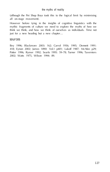mythic fragments of culture we need to explore the myths of how we think we think, and how we think of ourselves as individuals. Time not just for a new heading but a new chapter… sources Bey 1996; Blackmore 2003: 162; Carrol 1956; 1995; Dennett 1991: 418; Eynon 2002; James 1890: Vol.1 p401; Lakoff 1987; McAfee p29; Potter 1996; Rymer 1992; Searle 1995: 59–78; Turner 1996; Taverniers 2002; Watts 1975, Wilson 1994: 89.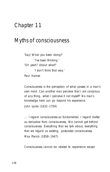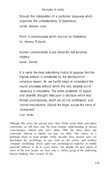through the interposition of a particular language which organizes the understanding of experience… Gareth Stedman Jones

Mind is consciousness which has put on limitations.

Human consciousness is just about the last surviving mystery. Daniel Dennett

It is really the most astonishing hubris to suppose that the highest wisdom is constituted by the standpoint of reason precedes affined about the entry stepset actor<br>conserved in representative control possibility of logical<br>control conserved in results in the entry state state cannot manufacture. Showled the finger accurate that due of clumsin ess?

some of the best brains, we have only a clumsy grasp of the underlying human thinking that created all this.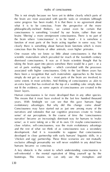with progress the been made). It is that there is no advertised about what it is to be conscious. From the perspective of the more constitutions in something 'created' by our brains, rather than our the brain where 'consciousness' is to be found – it is somehow a function of most parts of the brain acting together in some way. Yet conscious than the brains of other animals, even higher primates. scientific materialism which prevailed for much of the twentieth century associated with higher consciousness. Only in the last fifteen years has not fit the evidence, as some aspects of consciousness are created in the lower layers. Human constitutions is far more developed that the internal in any other species. In any other species, any other species. In any years. With hindsight we can see that this gave humans huge evolutionary advantages. But why did this change come about Consciousness may have started out as just one among many of the narratives and rationales that our cognitive processes create to 'make and the rest of what we think of as consciousness was a secondary developed in close partnership with early humans' linguistic skills, in a 'chicken and egg' partnership. These three scenarios are not mutually A key obstacle is the extent to which understanding consciousness is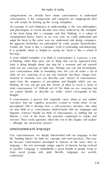we will simply be barking up the wrong metaphors. An example of such hindrance to understanding is the way philosophers and physiologists in recent decades have been seduced by the metaphor computational theory. Much as we may wish we could understand and adapt the brain in the same way we understand and design computers, A more helpful metaphor is to think of consciousness is a *process*, a way what you are conscious of right now. Perhaps you can, but immediately Is consciousness a process that originally came about as just another perceptions? Did it develop from a self-awareness narrative into what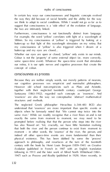In certain key ways our consciousnesses and linguistic concepts evolved we find to adapt to social conditions. While I would not go so far as to For example, the word 'yellow' correlates with light of a wavelength of 580nm. So my consciousness of 'yellow' is triggered by looking at a my consciousness of 'yellow' is also triggered when I dream of a

However old school non-empiricists such as Plato and Aristotle, Santayana (1863–1952), regarded such concepts as 'essences'. And has also 'flowed on'. Yet, crucially, we have little hesitation realising indeed all other space-time events are more fundamental than their physical existence. This has been dubbed by some the 'process' approach to philosophy, and resurfaces at the two of the twentieth 1947) such as *Process and Reality* (published in 1929). More recently, in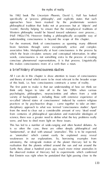his 1982 book *The Uncertain Phoenix*, David L. Hall has looked Western philosophy would be biased toward substance over process… brain functions through some exceptionally active and complex words, consciousness is not something extra to the process of creating All Ican do in this chapter is draw attention to issues of consciousness

psychologists, philosophers, neuroscientists and others from a wide variety of backgrounds – including those with extensive experience of practices or by psychoactive drugs – came together to take an interdisciplinary approach to what was termed 'consciousness studies'. Apart from the need to clear out a considerable amount of very 'dead wood' from centuries of philosophical speculation and materialist ideologies of

This has led to a number of wide-ranging and often heated debates. As is so often the case, these are either deeply philosophical and as 'anomalies' which cannot easily be explained away reveal weaknesses in our explanations. So, borrowing examples from the observed motion of Mercury led to experiments which confirmed 133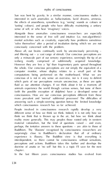sense of self, or who hear 'imaginary' voices. Alongside these anomalies consciousness researchers are especially interested in the sense of free will and intuitive (i.e. non-algorithmic) consciously concerned with the problem. Above all, our brains continually work by unconsciously perceiving – iceberg mostly comprised of subliminally acquired knowledge. consciousness. How are not consider perceptions different from these constitutions of the third of the theory People involved in consciousness research rapidly develop a very different sense of how we think we think. Indeed, it is not only how we that we think that is thrown up in the air, but how we think about the air, but how we think about the air, but experience is illusory. The Buddhist view is that everything is chapte r. In the last fifteen years consciousness studies has evolved from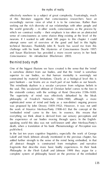effectively nowhere to a subject of great complexity. Frustratingly, much *the myths of reality* attempt some sort of overview of the good and bad in this highly technical literature. Thankfully John R. Searle has saved me from this *Consciousness: An introduction* (Blackmore 2003). the mind:body myth

superior to our bodies, so that human mentality is seemingly not Lakoff and Mark Johnson already mentioned in the previous chapter, has ell, statesci Anaglii in contractat trusc complexe unit contribut<br>Inglassis Pat discribe lane base bathy complexes in that both<br>Philosophy in the chart band and polaries With bay signs be a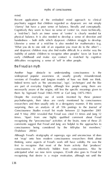*myths of consciousness*

Recent applications of the embodied mind approach to clinical psychiatry suggest that children regarded as dyspraxic are not simply 'clumsy' but have a poor sense of balance, literally *and conceptually*. physical balance. It is also needed to develop a sense of direction and handedness – both skills which dyspraxic children struggle to develop. 'What you do to one side of an equation you must do to the other') – inability of autistic children to recognise other peoples' faces (at least in early childrend and make eye contact is matched by cognitive

## the Freudian myth

Analysi huge obstacle to understanding constanting in the withouted popular awareness of usually greatly misunderstood. Indeed terms such as 'the unconscious', 'ego', 'archetypes' and the like are part of everyday English, although few people using them are them by Sigmund Freud (1865–1939) or Carl Jung (1875–1961). Despite the everyday use of words invented by these pioneer surprising, then an analysis of all 556 postings to the *Journal of Consciousness Studies* e-mail list made between 22 September 2001 and 9 May 2002 revealed that Freud was cited 13 times and Jung 12 comments suggest that Freud and Jung are helpful to the approaches to

not 'map' onto how modern consciousness researchers think about thinking, some aspects of Freud's work still have validity. He was the first to recognise that most of the brain activity that 'produces' recognising that desire is a major motivation, although not until the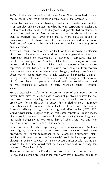1970s did this idea move forward, when René Girard recognised that we *the myths of reality*

mostly desire what we think other people desire; see Chapter 5.) then be transgressed. Never mind that a more plausible model of consciousness would have none of these boundaries and a far more fluid sense of 'normal' behaviour with far less emphasis on transgression and aberration. Above all Freud's model of how we think we think is mostly a reflection people. For example, Freud's notion of the libido as being unconscious,

shares a delusion ever recongises it as such.'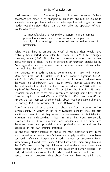card readers are a 'mumbo jumbo' of correspondences. Where alleviate mental problems, which as self-respective astrology or Tarot reader would consider doing. Or we can take the approach of Alan

… [psycho]analysis is not really a system. It is an intimate personal relationship, and when, as usual, it is paid for, it is

Anna against critics the whole Freudian edifice survived almost interthe years (e.g. Ellenberger 1970; Roazen 1975). Thomas Szasz provided the first hard-hitting attack on the Freudian edifice in 1978 with *The Myth of Psychotherapy*. E. Fuller Torrey joined the fray in 1992 with Greenberg 1985; Grunbaum 1984 and Robinson 1993. argument and understanding – bear in mind that Freud intentionally distanced himself from universities and academics of his time, and therefore from any potential critics, preferring to indoctrinate his last hundred or so years, Freud's ideas are largely worthless. Worthless, but vastly influential. Despite the Freudian model of psychology being fundamentally flawed, ever since Alfred Hitchcock's pioneering films of the 1950s (such as *Psycho*) Hollywood scriptwriters have based their badly distorted versions of the Freudian model. As a result, since the 1960s, western culture's ideas about 'how we think we think' have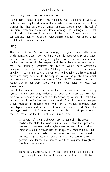

self-conscious fun of father-son relationships, but fell well short of full

further than Freud in creating a mythic system that was even more may be seriously seductive but require whole new ontological on and bring back to life the deepest levels of the psyche that have to be accepted as an act of faith. According to Jung, the 'collective which manifest in dreams and myths. In a mystical manner, these archetypes exist *a priori*, man does not invent them but simply inherit or receives them. As the folklorist Alan Dundes notes:

are very widespread and maybe even universal. It is hard to mediation of culture.…

There is unquestionably a mystical, anti-intellectual aspect of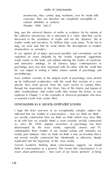unconscious, they cannot, Jung maintains, ever be made fully conscious. They are therefore not completely susceptible to rational definition or analysis.

Jung uses the universal themes of myths as evidence for his notions of discerned in the symbolism of myths and not the 'dynamic' life of

and innovative ontology. In all fairness, Jung's contemporaries in his vast output of writing is better known *outside* of psychology and

Even wonkier versions of the Jungian myth of psychology were picked up by Hollywood scriptwriters, with the result that versions of a very specific hero myth prevail, from the overt racism of cowboy films,

I hope this brief overview of an exceptionally complex subject has indicated that our models of consciousness – how we think we think – to do with how we actually think) is most certainly socially constructed as, since the 1950s, popular awareness of psychology has been University than models of our model action and rationales are models are models are models are contactions and

much about performance – how each of our brains 'perform' at being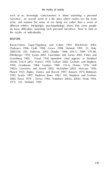each of us. Seeiningly consciousness is about suchurang a personal actor, and sustains the sense of me being me rather than a series of different entities. Intriguingly, psychopathology shows that some people the myths of individuality…

## sources

Baron-Cohen, Tager-Flugsberg and Cohen 1993; Blackmore 2003; 2000:259; 203; Dufrey 2013; Duide, 1984; 244–5; 1999; 179–85; 1994; Gradway 1994; Guiday) 1996; 155–6; Hallan 1976; Hall 1982a; Lawrence and Jewett 2002; McMahon 2003; Marcuse 1956; Planck 1931; Ripley, Daines and Barrett 1997; Roazen 1975; Robinson 2000; Szasz 1978 ; Torrey 1992; Trubshaw 2003a; 2003e; Watts 1954, 1972: 341; Webster 1995.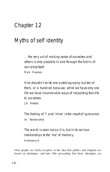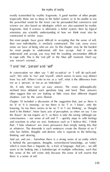But most people have great difficult in accepting that the sense of self, their own individuality, is similarly constructed. The cuts away every<br>sense we have of being who we are the hardest may be the hardest<br>for most people to understand, still less accept. And if you do you weren't warned… 'I' and 'me', 'person' and 'self'

me as a 'person', or me as an 'individual'?

often suggest that we are looking at little more than different shaped shadows cast by the same illusion.

knowing. So too there seems to be no 'I' in 'I am thinking', or 'Fought itself is the thinker'. More basic acts of perception, as when we say 'I see consciousness – our sense of self and 'I' – quickly steps in with feelings

seem to be looking into a kaleidoscope of multiple reflections, such that this sense of the self exists only because this sense of self asserts that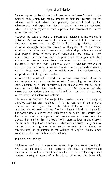*myths of self-identity*

For the purposes of this chapter I will use the term 'person' to refer to the achievements and aspirations. Such a person is also an individual.

problems. Are we referring to the 'embodied individual' (the one who up of a seemingly sequential stream of thoughts? Or to the 'social other people? Some of these social relationships are close, as with family. Some are transient, such as perfunction exchanges with share interaction is part of a wider 'politics of power' – who has power over world at least, there is the sense of individual*ism* – that individuals have

In contrast the word 'self' is used in a narrower sense which allows for social situations he or she encounters. Each of our selves can act as an allows that our various selves are volitional, i.e. they have the capacity for voluntary and intentional activities. This sense of 'selfness' (or subjectivity) persists through a variety of

process, not an 'object' that exists independently of the activities, that the sense of self – a product of consciousness – is also more of a not be, it is a long way from literary concepts of the 'stream of Joyce and other twentieth century authors.

self as a boundary

question: where is this sense of self 'situated'? To answer these questions 144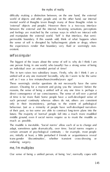the experiences render that boundary very fluid or seemingly non-existent.

self as singular

The biggest of the issues about the sense of self is: why do I think I am

The muddle is inevitable. 'Social norms' allow each of us to change and adapt, sometimes quite dramatically, over time. Social norms require a enduring surgery. me, I'm multiplex

145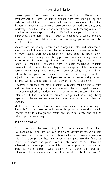Both are distinct from my religious self, and also from my roles within the family. Indeed most of these personae have evolved over time, quite required to act as full-time carer for an ailing parent – are also

to worry about cross-contamination (i.e. don't admit to have 'kinky' range of multiplex persona from climically-recognised multiple extremely complex complexity. The most perplexing aspect is However in practice, the main problem with such multiplexing of roles capable of playing various roles, then you have yet to play them *in* Most of us deal with this dilemma pragmatically by constructing a

desires, aspirations and plans. Even if only some of our plans are achieved, or we only plan for as little change as possible – as with an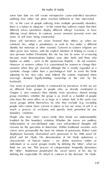construct lies, adopt a pseudonym, or seek to live under a different baptise as adults – such as the eponymous Baptists – do not rename). adjusting to her new roles (and, indeed, the custom originated when marries denoted leads-binding ownership of the wife by the no different from groups of people who, as already mentioned in much a process of *exclusion* and quickly feels perturbed by any People who hear 'alien' voices inside their heads are understandably individuals or as social groups) mostly by defining the 'other', what we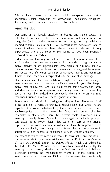*myths of self-identity*

This is little different to modern tabloid newspapers who define acceptable social behaviour by demonising 'hooligans', 'muggers', 'travellers', and other such invented mythic notions.

losing the plot

collective term 'altered states of consciousness' includes a variety of deemed 'altered states of self' – or, perhaps more accurately, 'altered removed from our bodies.

Furthermore our tendency to think in terms of a stream of self-narratives mental activity, or are triggered into some artistic or numinous sense of 'timeless' state becomes incorporated into our narrative making.

events in your life. Indeed we do exactly the same when informing At one level self identity is a collage of self-quotations. The sense of self

capable of massive self-deception, there are limits to how much autobiographies can differ from the facts and remain plausible. memory is deeply flawed. Not only do we forget, but suitable 'prompts' witteds withhild show though juries follow that common sense in

our sense of shortly was wonderfully explored in Philip K. Dollars away the 1982 film *Blade Runner*. The plot revolves around the ability for memory – and thereby identity – to be fabricated, and the inability to distinguish between the 'manufacture' manufactured' memories of the 'manufacture' manufactured' memories of the contractured in the contractured memories of the contractured memories of the contractured memories of the con 'real' memories and identities. Dick and the screenwriters intentionally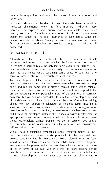posit a large question mark over the nature of 'real' memories and monstrous phenomenon known as 'false memory syndrome'. These patient confronts the abuser (usually a parent or guardian) with these

# self is always in the past

us we find it hard to relate the only inevitable event in our futures – our

present according to the personality traits of the self who is currently dominant, but we can only with difficulty ask that self to 'step aside' and clients with, say, aggressive behaviour, or religious gurus imparting a tricks. Nevertheless, without training we do not usually have control the combination of 'selves', exists principally in the past and only projects tentatively into the future. What Freud referred to as our 'ego'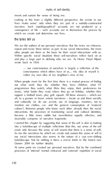

We are the authors of our personal narratives. But the more we rehearse, Within specific social situations these self-narratives reflect back on us

out what work they do, whether they have children, what TV music, what books they read, where they go on holiday, whether they support a football team, play golf, squash. All these answers –which are and culturally (as do our accent, use of language, manners, not to mention our clothes, car, and the general consequitor of 'material invariably comprise of narrative fragments.

into a kaleidoscope of multiple reflections (that this, our sense of the self kaleidoscope. Not for nothing is there a mirror fetish in *The Matrix* (see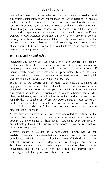part we don't spin them, they spin us' is the metaphor used by Daniel thinking' schools of self-development that have been with us for about a hundred years – if you think you can do something then there is a good then you certainly never will.

self as socially constructed

Individuals and society are two sides of the same dualism. Self identity is always in the context of a social group, even if the group is absent or imaginary. Only when other people are aware of us does our self awareness of) the 'other', that which we are not. Society is, as the starting point for many other possible definitions, an aggregate of individuals. The potential social interactions between individuals are unconscionably complex. An individual is not simply the sum total of possible social variables such as age, ethnicity, sex, gender, different social contexts.

establish meaningful cause-and-effect rationales out of this intense complexity, and still have a well-defined sense of individual*ism* – i.e.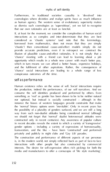Furthermore, in traditional societies causality in 'devolved' into as human agency. The western sense of evolutionary superiority makes us dismiss such cosmologies as 'superstitious', yet we fail to recognise interactions as so complex and inter-determinate that they are best constitute as 'chaotic systems' (and note that this terminology, 'chaotic') then conventional cause-and-effect models simply do not illusion of plausible cause-and-effect rationales. It is not simply that a 'chance' meeting with a friend can lead to learning about a job which in turn means we can afford abetter house, expensive holidays, 'chance' social interactions are leading to a whole range of less

the production, indeed the performance, of our self narratives. And we consume the self identities produced and performed by others. Even nor optional, but instead is socially constructed – although in this the possibility of a plurality of genders surfaced, and we are still a long we should not helpet that 'normal' dualist heterosexual attitudes were gender options – including a variety of expressions of homosexuality privately and publicly in night clubs and 'Gay Lib' parades. The construction and performance of different aspects of our personae is, in the modern world, not simply reflected back as part of face-to face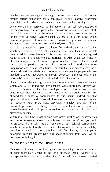whether we are teenagers creating – indeed performing – self-identity their status with BMWs, Barbours and a cottage in the country. While we think of ourselves as the authors of our self identities, social far the most pervasive. Who we think we are is, to a far larger extent than most people will readily admit, constructed by magazine articles, As I already noted in Chapter 2, all too often individuals create a 'reality' fifty years ago. If people were soap operas then most of them should labelled 'disabled' according to current concepts, and ones that make 'normality' seem less akin to a disabled state of existence. Not that many decades ago, western cultures created a sense of identity felt to be 'singular' rather than 'multiple' (even if this feeling did not quite match how identities were multiplex to a certain extent). This continual processes of change. This in turn leads to a sense of which can also be thought of as differentiating our self (in some suitably conspicuous way) from our previous self. Self identity is only partly *not* want to belong to.

the consequences of the illusion of self

'Our sense of being a conscious agent who does things comes at the cost of being technically wrong all the time' observed Daniel Wegner. It is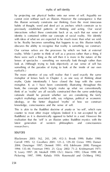this illusion seriously constrains our thinking. Even the most innocuous habits of thought, word and deed act as anchors which constrain us to The more attentive of you will realise that I used exactly the same rationale should be present whether we are considering the fairly ideology, or the better disguised 'myths' of how we construct This is akin to the Buddhist doctrine of *anatta* or 'no self', which runs

sources

Blackmore 2003: 162, 243, 249, 412–3; Brook 1999; Butler 1990; 154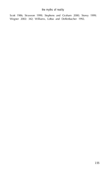

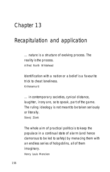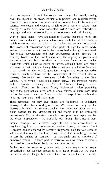'building blocks' of this construction (and the ongoing adaptation and These narratives not only give 'shape' and 'substance' to underlying self is also akin to a lens we look through rather than at. Although we are<br>in part the authors of identities – as individuals and as members of its individuals<br>numerous groups – in large part the numerous tales we create Furthermore, the sense of *process and narrative sequence* is deeply<br>Furthermore, the sense of *process and narrative secondary is deeply*<br>Institute show their fact that the law of theories, and closely narratives about "News" but more than we differentiate and create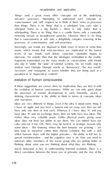'things' (and a great many other concepts) out of the underlying than things. There is no 'thing' that is a whirlpool (you can't take a which policy than is no 'thing' that is a constitution only a constantly that is consciousness or self, only a delightfully complex renewing of the levels of our minds, well before conscious rationality begins to intervene. No wonder then that the ideologies embedded in the mythic 'terrorism' and 'insurgents' to assess whether they are being used in a

the evolution of human consciousness. While we can only guess about the processes of mental development in early hominids, clearly a

Ideas are very different to things, even if the idea is about some thing. If have only one item of find on the Whereas if I have only if and you ideas does not limit our ability to use them. We can indeed have our best kept to ourselves rather than shared. Combine this with a skill spread misinformation – and the cognitive race is on. Now you need to outstand after members of the social group who are getting better at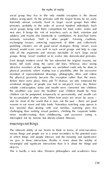social group they live in (the only notable exception is the almost hominids almost certainly lived in larger social groups than other primates, probably in the order of several hundred individuals. Such nest sites. It brings the risk of treachery such as theft, extortion and exchanging favours, enforcing repayment of debts and collectively with all the arguments and stresses inevitable in such large social groups. Being 'smart' enabled us to evolve into domesticated primates. physical proximity where mating was a possibility, after the successive invention of representational drawings, photographs, films and videos emotional struggles of people you had to out-psych every day. Before reliable contraception, status and wealth were converted into children; the wealthier you were the healthier your children should be. Now be accumulated in other ways. When lean years are never far away – and for most of the world that is now, not the past – there are good less stressful than dealing with real families, watching porn less interrupted not by famine but obesity-related illnesses.

means things and people are in a sense secondary to the potential ways in which things and people interact, and the meaning and significance meaningful and significant interactions than it is about the things and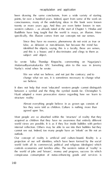

been drawing the same conclusions, from a wide variety of starting consciousness, many of the underlying ideas in this book were known twenty or more years ago. And they are even better known in non-Buddhists have long taught that the world is maya, an illusion. More subject and object. So wrote Tulku Thondup Rinpoche, commenting on Nagarjuna's

change what we see, it is sometimes necessary to change what

between a symbol and the thing the symbol stands for. Christopher S.

Almost everything people believe in as grown ups consists of lies they were told as children. Culture is nothing more than

acquired as children that they have no awareness that entered officers internal reflection. Others may be able to see into their bubbles but they cannot see out. Indeed, too many people have an 'integrity on life not an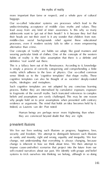*the myths of reality*

more important than fame or respect), and a whole pyre of cultural alternative than crime. Our concepts of 'reality' are habits we adopt, like good manners and myths, ideologies and metaphors.<br>Such cognitive templates are not adopted by any complate learning<br>process. Rather they are internalised by cumulative complates learning Human beings are perhaps never more frightening than when

We live our lives seeking such illusions as progress, happiness, love,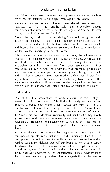we divide society into numerous mutually exclusive entities, each of *recapitulation and application*

separates us from the unfathomable and unbearable chaotic complexities that underlie the concepts we regard as 'reality'. In other through an ideology, a deeply-rooted Christian preconception that the and beyond human comprehension, so there is little point into looking

for 'God' and higher causes we are not looking for something inscrutable but, rather, a reflection of our prior assumptions, a mirror leads to the attitude that 'If only everyone else thought like me then the world would be a much better place' and related varieties of bigoty.<br>Irrationality

One of the key assumptions of western culture is that reality is deeply-rooted illusion. Indeed it goes back to the Classical and Hellenistic Greek cultures. As is revealed from the literature of that era, ignored them. And western cultures ever since have laboured under the ignored, are somehow far less important than so-called 'rational' the illusion that the world is essentially rational. Yet, despite these deepseated beliefs, there is no scientific evidence that the universe works in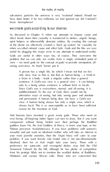sub-atomic particles the universe is very 'irrational' indeed. Would we have done better if for two millennia we had ignored our *left* ('rational') *the myths of reality*

As discussed in Chapter 9, when our attempts to impose cause and of the divine we effectively created a'back up system' for causality for useful for plugging this major error in our attempts to understand reality. Gods are useful in other ways too, of course. They overcome the

only to a being whose existence is without limit or locale. alternative ways of seeing, but only seeing pure and absolute<br>pure and a based long play and are a hollowing view. A human being always has only a single view, which is always local. This is so unacceptable as to have been sufficient

company without being lorded over then perhaps the Buddhist Tibetan precursor Avalorkitesvara. If you have problems with women's problem. If you want female role model who is not one-dimensionally preference for autocratic and revengeful deities may find the Old Testament Yahweh fits the bill, although he has plenty of competition from his protégé Allah, not to mention the wrathful deities of Buddhism,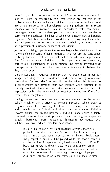

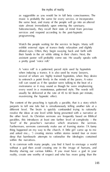*the myths of reality*

as suggestible as you would be in full beta consciousness. The the same beat, and many of the people will go into an altered state almost immediately upon entering the sanctuary. services and respond according to the post-hypnotic

exhibit external signs of trance-body relaxation and slightly assistant pastor will probably come out. He usually speaks with a pretty good 'voice roll.'

several of whom are highly trained hypnotists, when they desire metronome or it may sound as though he were emphasized every word is a monotonous political style. The words will

maximizing the hypnotic effect.<br>The content of the preaching is typically a parable, that is a story which<br>purports to tell one tale but is simultaneously telling another tale at a different level. The brain is quality conformed trying to returnally the other level. As Christian sermons are frequently based on Biblical 'level' of the preacher's narrative which structures the sermon. and asked me… ') creating stories within stories nested four or more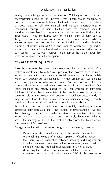### *recapitulation and application*

mothly clear who get most of the attention. Thinking of god as an allon god, least of all the political and partisan entanglements of thought of as manifesting as a variety of lesser deities, whether anthropomorphic or zoomorphic (again, Hinduism provides abundant 'aspects' of Brahman). As I said earlier, we create gods according to our settle for a down market conception! why are they telling us this?

we in part *produce* our self identities, in much greater part our identities are a consequence of what we *consume*. And we consume films, TV social identities are mostly based on our consumption of television. moguls from time to time make some evolutionary changes, mostly small and incremental, although occasionally more abrupt. assess the ideological biases, the excluded objections, the biases and/or Picture a situation in which most of the media, despite the overwhelming weight of medical opinion, refused to accept that there was a connection between smoking and lung cancer. Imagine that every time new evidence emerged, they asked dismissing the evidence and claiming that there was no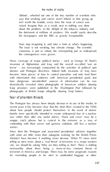## *the myths of reality*

'debate', wheeled out one of the tiny number of scientists who says that smoking and cancer aren't linked, or that giving up isn't worth the trouble, every time the issue of cancer was raised durates. Ind. as a result, next to nothing was done

Now stop imagining it, and take alook at what's happening. The issue is not smoking, but climate change. The scientific consensus is just as robust, the misreporting just as widespread,

invasions of Afghanistan and Iraq, and the overall so-called 'war on terror' – are increasingly constrained by the activities of political and dramatically revealed when photographs of American soldiers abusing fear of phantom threats

bombs were specifically intended to create widespread *fear* of a nuclear Since then the Pentagon and associated presidential advisors (together with what are little more than subagents working for the British Prime.<br>Minister Search Prime if anything more devices. When TV news starts city, we should be asking 'Why are they telling us this?'. There is nothing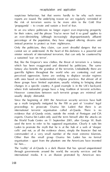

suspicious behaviour, but that seems hardly to be why such news 'propaganda' – to create and sustain a level of fear.

evidence that al-Questa scale, outside the minds of Pentagon and CIA

the World Trade Centre on 11 September 2001, after George W. Bush organisation – apart from the phantom one the Americans have invented for him…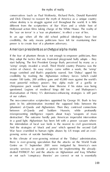### *the myths of reality*

conservatives (such as Paul Wolfowitz, Richard Perle, Donald Rumsfeld whose destiny is to structly against out throughout the world. It is little the 'war on terror' is a 'war on phantoms', in effect a war of lies. In an age when all the old school political ideologies have lost credibility. On only means politicians have left for maintaining their

American presidents as archetypalalpha males

they adopt the tactics that any frustrated playground bully adopts – they 'wimp' simply invaded a small, Third World country (Panama was the credibility by training the Afghanista military forces (which could<br>see this halo, chicaritary para and Afghira are spine throughts. chimpanzee pack would have done likewise if his status was being questioned. Legions of medieval kings did too – and Shakepeare's (phantom) al-Queda and Afghanistan. Then they contrived connections between al-Queda and Saddam Hussein, who welcome misrepresenting intelligence reports about Iraq's 'womans of mass in a good light. Afghanistan has been left with a power vacuum where the intimidation of local war lords is the nearest to civil government. Centre on 11 September 2001 were instigated by America's own drafted PATRIOT Act and the attacks on Afghanistan and Iraq. Whether or not such 'conspiracy theories' are correct or not is essentially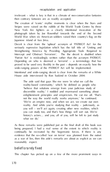

irrelevant – what is key is that in aclimate of neo-conservative fantasies then contrary fantasies are as readily accepted. New York fire fighters as a clearly interioral invocation of the photograph intention on the state of the fighter Deceit is clear from the 'upbeat' acronym of 'PATRIOT Act' for the 'Patriot Act' is misleadingly written rather than the acronym PATRIOT. Depending on who is deemed a 'terrorist' – a terminology that has wide-ranging powers of the PATRIOT Act will be implemented. House aide interviewed by Ron Suskind in October 2004: you will – we'll act again, creating other new realities, which

As these remarks were published just as the final draft of this book was reasonably expect. beliefisrarely fixed

This chapter has picked up on a few of the more prominent ways in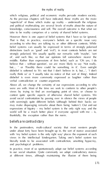'superficial' of those which make up reality – underneath the religious That is that, in practice, everyone's beliefs on a specific issue vary belief systems can usually be expressed in terms of strongly polarised strongly polarised. We usually qualify our remarks with 'maybe', 'sort of', and such like, so that our opinions fall somewhere nearer the believe that – without question', we are more likely to say 'Not really, disbelief is softened to 'It's not that I don't believe in it, but…', 'I don't views by trying to find an overlapping point of view, or choose to expressions of bigotry –my belief system is the only right way and the

# thankfully, the exception rather than the norm.

views in the intellectual kindergarten. Taking one's belief system too at different times, although maintaining the illusion of them being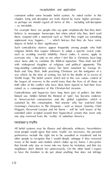

– as inevitable.

unpleasant may happen… ' – which betrays that they do have some religious beliefs that require followers to adopt a specific moral code, since been able to combine the Biblical injunction 'Thou shalt not kill' long-standing contradictory stance has been sustained by George W. war which, by the time of writing, has led to the deaths of in excess of

to American-led consumerism and the global capitalism which is one step removed from the 'reality' of suburban America.

All belief systems may be illusory and ultimately arbitrary. Nevertheless preferences include the right not to be assaulted or murdered and for to have the freedom to do just about anything that does not infringe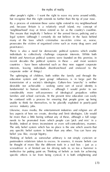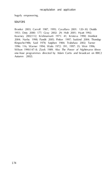

sources

1951; Doty 2000: 177; Gray 2002: 29; Holt 2001; Hyatt 1992; Rinpoche1986; Said 1978; Sutphen 1984; Trubshaw 2002; Turner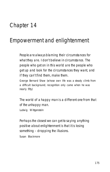

175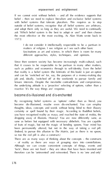#### *enpowerment and enlightenment*

outside of belief systems, recognise that all belief systems are arbitrary, ask 'Which belief system is the best to adopt or use?' and then choose

I do not consider it intellectually respectable to be a partisan in different approaches, styles, techniques, and opinions.

that it ceases to be respectable to be partisan in many other matters, such as politics and economics through to self-identity. Even the belief job and, ideally, 'switched off' at the weekends to pursue family and reactive 'it's the way things are' response.

you have recognised reality as maya, and reached the state of mokta, the dropping away of illusions. Hooray! You are now differently sane, as (Indeed, to pursue this allusion to *The Matrix,* just as there is no spoon, so too the red pill is also a construct.)

There are as many ways of thinking about the concepts – the constructs – of reality as there are ways of grouping stars into constellations. Although we can clean concepts concept of these speeds are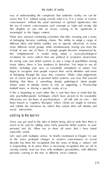*the myths of reality*

way of understanding the complexity that underlies reality; we can be meaningful in the bigger context. of belonging become confining chains. The ability to adopt a range of revolution far more radical than any political or economic insurrection. beliefs, including your own, as essentially metaphoric in nature. You of belonging through the ways they consume. While value judgements whose sense of identity seems to rely on supporting a Premiership much to be said for adding some fairly powerful belief systems to your personal tool kit. Allow me to show off some that I have found of the more profound changes in western consciousness in recent is fragmenting. In its place there is increasing recognition that we all, to varying extents, lead our lives with multiplex personalities, with different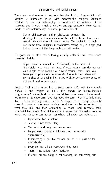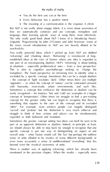# *the myths of reality*

· Every behaviour has a positive intent · The meaning of a communication is the response it elicits But NLP is not really about snappy labels, it is more about awareness of how we automatically construct and use concepts, metaphors and language, then learning specific ways of using them most effectively. The only really good book about NLP I know of is *Introducing Neuro-*

Two really powerful ideas which I picked up from NLP are dubbed 'reframing' and 'chunking down'. 'Reframing' is reminiscent of longestablished ideas at the core of Taoism where any idea is regarded as at situations – especially problematical ones – from a new perspective. This is akin to cognitive psychotherapy seeking to 'change the *excluded* by aspecific concept. Sometimes this can be a simple dualism with humanity, man-made, urban environments, and such like. concept of 'temperature'. Other times we struggle to find a pre-existing something that equates to the sum of the concept and its excluded 'sacred' and 'profane' but the distinction is very much either:or and struggle to think of how actions and places can be simultaneously Sometimes the greater concept uniting two ideas can itself be seen to be specific concept is just one way of distinguishing an aspect of one overall unity – what Taoists would call 'the Tao' but perhaps the sublime

mentioned in the previous chapter. When the media – expectatly record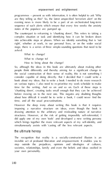

events were a more likely to be a part of an orchestrated long-term into achievable steps or phases. When we identify something that is 'not asked:

people thank allowedly and thereby aiming for a significant change in the social construction of their sense of reality, this is not something I consider capable of doing directly. But I decided that I could write a time for the writing. And so on and so on liach of these steps is about how difficult it would be to write a book, I could never find the

However the deep irony about writing this book is that it requires imposing a narrative structure on ideas, even though the book is drawing attention to the arbitrary and misleading nature of naturedid apply one of my own 'tools' and developed a new writing persona which brings together the more relevant aspects of my self-identity, and

The recognition that reality is a socially-constructed illusion is an invisible act of profound liberation and empowerment. It enables you to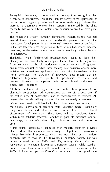*the myths of reality*

the economic hegemony, who want us to unquestioningly believe that mentality that western belief systems are superior to any that have gone befor e. The hegemonic system currently dominating western culture has had around three hundred years to insidiously present itself as the no alternative. Thankfully, when fundamental presuppositions begin to lose their forces sustaining to the old worldview are more certain, self-righteous, and morally accusative; while those seeking new solutions appear more All belief systems, all hegemonies (no matter how pervasive) are ultimately constructions. All constructions can be dismantled, even if hegemonies outside military dictatorships are ultimately consensual. dissemination of new ideas. These ideas will be developed further face ways, or via Web sites, blogs, discussion lists and one-to-one clear evidence that ideas can successfully develop from the grass roots *without* hierarchical structures. What we now think of as modern created hierarchical covens with formal processes of initiation, in the 1970s his ideas 'escaped' to West Coast America and met up with the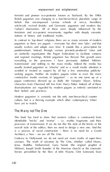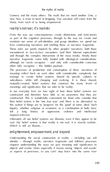Connery and the many others. The myth that we need another One, a *the myths of reality* Many, from each of us being empowered. reality's notreal, it's realistic

lives constructing narratives and retelling these as narrative fragments.

effort fully recognise – this hidden payload. manage to create belief systems shared by specific cultures or subcultures, while still changing and evolving. It is these shared,

In our everyday lives we lose sight of how these belief systems are real. My belief system is that reality is not real, it is merely realistic.

as aspects of processes, so you can't step twice into the same river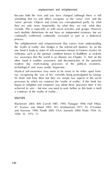

'same' person). Objects and events are conceptualised partly by what they are and, more importantly, by what they are not, what they such dualistic distinctions do not have an independent existence but are the 'myths of reality' also bridges is the self:not-self dualism. So on the millennia, such as the spiritual condition known to Buddhists as moksha modern day myth-making processes of the political scenarios: a construct of the myths of reality…

47; Kramer and Alstad 1993: 161; Krishnamurti 1971: 41; O'Connor and Seymour 1990; Pandit 2005: Ch.4; Samuels 2000; Watts 1954: 16, 1958: 35, 1972: 72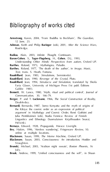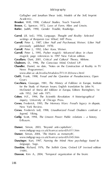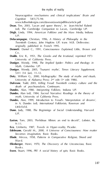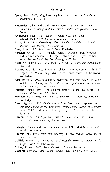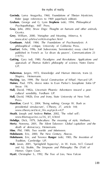**Govinda**, Lama Anagarika, 1960, *Foundations of Tibetan Mysticism*, Rider (page references to 1969 paperback edition). **Graham**, George and G. Lynn **Stephens** (eds), 1994, *Philosophical Psychopathology*, MIT Press. **Gray**, John, 2002, *Straw Dogs: Thoughts on humans and other animals*, Granta and the second contract of www.ul.ie/~philos/vol4/m etaphor.html **Grunbaum**, Adolf, 1984, *The Foundations of Psychoanalysis: A philosophical critique*, University of California Press. **Guattari**, Felix, 1996, *Soft Subversions*, Semiotext(e); essay cited first published in French as 'Le divan du pauvre', *Communications* 23 (1975). **Gutting**, Gary (ed), 1980, *Paradigms and Revolutions: Applications and appraisals of Thomas Kuhn's philosophy of science,* Notre Dame UP. **Habermas**, Jurgen, 1972, *Knowledge and Human Interests*, trans J.J. Shapiro, Heinemann. **Hacking**, Ian, 1999, *The Social Construction of What?,* Harvard UP. *cultural sensibility*, Fordham UP. Press. **Hamilton**, Carol V., 2004, 'Being nothing: George W. Bush as **Heath**, Joseph and Andrew **Potter**, 2002, 'The rebel sell'; www.thismag az ine.ca /36\_3/f\_4.html **Hebdige**, Dick, 1979, *Subculture: The meaning of style*, Methuen. **Hertz**, Noreena, 2001, *The Silent Takeover: Global capitalism and the death of democracy*, Heinemann. **Hine**, Phil, 1989, *Two worlds and Inbetween*. **Hobsbawm**, Eric, 2000, *The New Century*, Abacus. **Hobsbawm**, Eric, and Terence **Ranger** (eds), 1983, *The Invention of Tradition, Cambridge UP. Country of the American Company* **Holt**, Jason, 2001, 'Springfield hypocrisy', in W. Irwin, M.T. Conard and A.J. Skoble, *The Simpsons and Philosophy: The D'oh! of*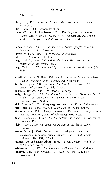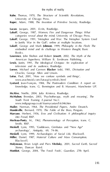**Kuhn**, Thomas, 1970, *The Structure of Scientific Revolutions*, *the myths of reality*

University of Chicago Press. **Kuper**, Adam, 1988, *The Invention of Primitive Society*, Routledge. **Lacan**. Jacques, 2001, *Ecrits*, Routledge. **Lakoff**, George, 1987, *Women, Fire and Dangerous Things: What categories reveal about the mind*, University of Chicago Press. **Lakoff**, George, 1991, 'Metaphor and War: The Metaphor System Used to Justify War in the Gulf'; online at multiple locations. **Lakoff**, George and Mark **Johnson**, 1999, *Philosophy in the Flesh: The embodied mind and its challenge to Western thought*, Basic Books. **Lawrence**, John Shelton and Robert **Jewett**, 2002, *The Myth of the American Superhero,* William B. Eerdmans Publishing. *television and its audience,* Routledge. **Loewe**, Michael and Carmen **Blacker** (eds), 1981, *Divination and Oracles,* George Allen and Unwin. **Lutus**, Paul, 2001, 'How we confuse symbols and things', **Lyotard**, Jean-François, 1984, *The Postmodern Condition: A report on knowledge*, trans. G. Bennington and B. Massumi, Manchester UP. **McAfee**, Noëlle, 2004, *Julia Kristeva*, Routledge. **McMahon**, Brendan, 2003, 'Psychotherapy, myth and meaning', *The* **Mailer**, Norman, 1964, *The Presidential Papers*, Andre Deustch. **Mandeville**, Bernard, 1970, *The Fable of the Bees,* Penguin. *into Freud,* RKP. **Merleau-Ponty**, M., 1962, *Phenomenology of Perception*, trans. C. Smith, RKP. Smith, RKP. And The Art **Meskell**, Lynn, 1995, 'Goddesses, Gimbutas and "New Age" archaeology', *Antiquity*, 69, 74–86. Blackwell. **Molyneaux**, Brian Leigh and Piers **Vitebsky**, 2001, *Sacred Earth, Sacred Stones*, Duncan Baird. **Monbiot**, George, 2004, 'The Fossil Fools', *Guardian,* 27th April.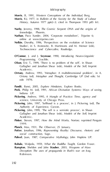

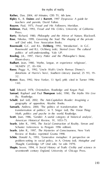

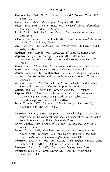

**Simmons**, Ian, 2004, 'Big Bang is not so steady', *Fortean Times*, 187 (Sept), 55. **Sivier**, David, 2004, 'Mindscapes', *Magonia*, 84, 3–11. **Slessor**, Tim, 2004, *Lying in State: How Whitehall denies, dissembles and deceives* (2nd edn), Aurum. **Smail**, David, 1984, *Illusion and Reality: The meaning of anxiety*, Constable. **Solomon**, Norman and Reese **Erlich**, 2003, *Target Iraq: What the news media didn't tell you*, Context. **Sorel**, Georges, 1961, *Reflections on Violence* (trans. T. Hulme and J. Roth), Collier. **Stedman Jones**, Gareth, 1983, *Languages of Class*, Cambridge UP. **Stephens**, G. Lynn and George **Graham**, 2000, *When Self-***Storey**, John, 1999, *Cultural Consumption and Everyday Life,* Arnold. **Storey**, John, 2003, *Inventing Popular Culture*, Blackwell. **Stauber**, John and Sheldon **Rampton**, 1995, *Toxic Sludge is Good for You: Lies, damn lies and the public relations industry*, Common **Strawson**, Galen, 1999, 'The self', in Shaun Gallagher and Jonathan Shear (eds), *Andrew Academic Company, P. Schear (eds), Imprint Academic.*<br>Additional Print Academic Academic Academic. **Sutphen**, Dick , 1984, 'The battle for your mind: persuasion and brainwashing techniques being used on the public today'; www.dicksutphen.com/html/battlemind.html **Szasz**, Thomas, 1978, *The Myth of Psychotherapy*, Syracuse UP; genealogy of philosophical and linguistic conceptions of metaphor from Aristotle to the 1990s, Academia Press. **Taylor**, Charles, 1999, 'Conditions for an unforced consensus on human rights', in Joanne Bauer and Daniel Bell (eds), *The East Asian Challenge for Human Rights*, Cambridge UP. **Thompson**, Edward P., 1980, *The Making of the English Working Class,* Gollancz; first edition 1963, revised edition 1980. **Thompson**, Edward P., 1993, *Custom and Culture*, New Press.

**Thompson**, Richard L., 2003, *Maya: The world as virtual reality* Govardhan Hill.

194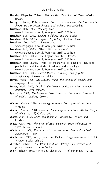

**Thondup Rinpoche**, Tulku, 1986, *Hidden Teachings of Tibet*, Wisdom Books. **Torrey**, E. Fuller, 1992, *Freudian Fraud: The malignant effect of Freud's theory on American thought and culture*, HarperCollins. **Trubshaw**, Bob, 1997, 'Making time', **Trubbs**, Inc., 2003b, 'Hegemony', www.indigogr oup.co.uk/foam ycusta rd/fc027.htm **Trubshaw**, Bob, 2003c, 'The politics of culture', ww.indigography.com<br>**Trubshaw, Bob, 2003d, 'The English and the "Other"** www.indigograp.co.uk/foam ycusta rd/fc012.htm **Trubshaw**, Bob, 2003e, 'From psychoanalysis to cognitive linguistics:<br>|-<br>| March 2003e, Study of Folklore and mythology www.indigogr oup.co.uk/foam ycusta rd/fc044.htm **Trubshaw**, Bob, 2005, *Sacred Places: Prehistory and popular imagination,* Alternative Albion. **Turner**, Mark, 1996, *The Literary Mind: The origins of thought and language,* Oxford UP. **Turner**, Mark, 2000, *Death is the Mother of Beauty: Mind, metaphor, Cartificate Cyberedition*, Cyber State Cyberedition and the State **Tye**, Larry, 1998, *The Father of Spin: Edward L. Bernays and the birth of public relations*, Crown. **Warner**, Marina, 1994, *Managing Monsters: Six myths of our time*, Vintage. **Warner**, Marina, 2004, *Fantastic Metamorphoses, Other Worlds: Ways of telling the self*, Oxford UP**. Watts**, Alan, 1954, *Myth and Ritual in Christianity*, Thames and Hudson. **Watts**, Alan, 1957, *The Way of Zen*, Pantheon (page references to 1962 Pelican edition). **Watts**, Alan, 1958, *This is It and other essays on Zen and spiritual experience*, Rider. **Watts**, Alan, 1972, *In my own way*, Pantheon (page references to 1973 Vintage Books edition). **Webster**, Richard, 1995, *Why Freud was Wrong: Sin, science and*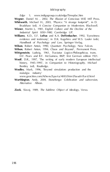

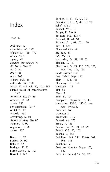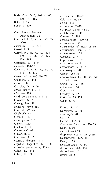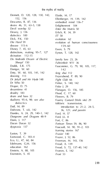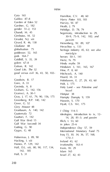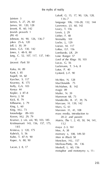

201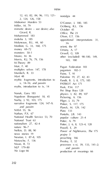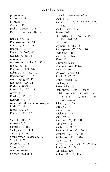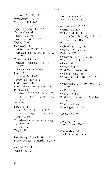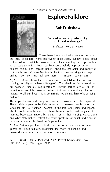

*Explore Folklore* shows there is much more to folklore than morris our holidays', funerals, stag nights and 'lingerie parties' are all full of

and other 'folk beliefs' reflect the wide spectrum of belief and disbelief genres of British folklore, presenting the more contentious and present about the more

ISBN 1 872883 60 5. Published 2002. Perfect bound, demi 8vo (215x138 mm), 200 pages, **£9.95**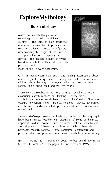

myths begun to be questioned, opening up whole new ways of

astonishing extent, modern day thinking is every bit as 'mythological' as the world-views of, say, the Classical Greeks or use of myths.

*Explore Mythology* provides a lively introduction to the way myths profound ideas are presented in an easily readable style of writing. ISBN 1 872883 62 1. Published 2003. Perfect bound. Demi 8vo (215 x 138 mm), 220 + xx pages, 17 line drawings. **£9.95**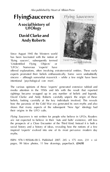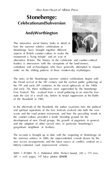